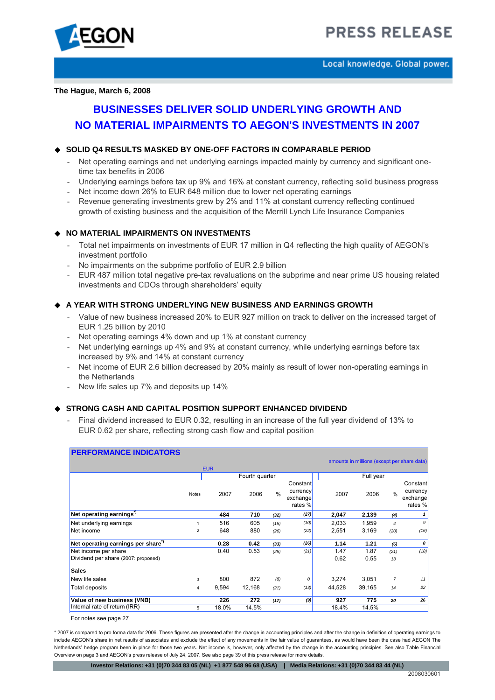

Local knowledge. Global power.

**The Hague, March 6, 2008** 

# **BUSINESSES DELIVER SOLID UNDERLYING GROWTH AND NO MATERIAL IMPAIRMENTS TO AEGON'S INVESTMENTS IN 2007**

# **SOLID Q4 RESULTS MASKED BY ONE-OFF FACTORS IN COMPARABLE PERIOD**

- Net operating earnings and net underlying earnings impacted mainly by currency and significant onetime tax benefits in 2006
- Underlying earnings before tax up 9% and 16% at constant currency, reflecting solid business progress
- Net income down 26% to EUR 648 million due to lower net operating earnings
- Revenue generating investments grew by 2% and 11% at constant currency reflecting continued growth of existing business and the acquisition of the Merrill Lynch Life Insurance Companies

# **NO MATERIAL IMPAIRMENTS ON INVESTMENTS**

- Total net impairments on investments of EUR 17 million in Q4 reflecting the high quality of AEGON's investment portfolio
- No impairments on the subprime portfolio of EUR 2.9 billion
- EUR 487 million total negative pre-tax revaluations on the subprime and near prime US housing related investments and CDOs through shareholders' equity

# **A YEAR WITH STRONG UNDERLYING NEW BUSINESS AND EARNINGS GROWTH**

- Value of new business increased 20% to EUR 927 million on track to deliver on the increased target of EUR 1.25 billion by 2010
- Net operating earnings 4% down and up 1% at constant currency
- Net underlying earnings up 4% and 9% at constant currency, while underlying earnings before tax increased by 9% and 14% at constant currency
- Net income of EUR 2.6 billion decreased by 20% mainly as result of lower non-operating earnings in the Netherlands
- New life sales up 7% and deposits up 14%

# ◆ **STRONG CASH AND CAPITAL POSITION SUPPORT ENHANCED DIVIDEND**

Final dividend increased to EUR 0.32, resulting in an increase of the full year dividend of 13% to EUR 0.62 per share, reflecting strong cash flow and capital position

| <b>PERFORMANCE INDICATORS</b>                 |            |       |                |               |          |        |                                             |                |          |
|-----------------------------------------------|------------|-------|----------------|---------------|----------|--------|---------------------------------------------|----------------|----------|
|                                               |            |       |                |               |          |        | amounts in millions (except per share data) |                |          |
|                                               | <b>EUR</b> |       |                |               |          |        |                                             |                |          |
|                                               |            |       | Fourth quarter |               |          |        | Full year                                   |                |          |
|                                               |            |       |                |               | Constant |        |                                             |                | Constant |
| <b>Notes</b>                                  |            | 2007  | 2006           | $\frac{0}{0}$ | currency | 2007   | 2006                                        | $\frac{0}{0}$  | currency |
|                                               |            |       |                |               | exchange |        |                                             |                | exchange |
|                                               |            |       |                |               | rates %  |        |                                             |                | rates %  |
| Net operating earnings <sup>7</sup>           |            | 484   | 710            | (32)          | (27)     | 2,047  | 2,139                                       | (4)            |          |
| Net underlying earnings                       |            | 516   | 605            | (15)          | (10)     | 2,033  | 1,959                                       | $\overline{4}$ | 9        |
| Net income                                    | 2          | 648   | 880            | (26)          | (22)     | 2,551  | 3,169                                       | (20)           | (16)     |
| Net operating earnings per share <sup>7</sup> |            | 0.28  | 0.42           | (33)          | (26)     | 1.14   | 1.21                                        | (6)            | 0        |
| Net income per share                          |            | 0.40  | 0.53           | (25)          | (21)     | 1.47   | 1.87                                        | (21)           | (18)     |
| Dividend per share (2007: proposed)           |            |       |                |               |          | 0.62   | 0.55                                        | 13             |          |
| <b>Sales</b>                                  |            |       |                |               |          |        |                                             |                |          |
| New life sales                                | 3          | 800   | 872            | (8)           | $\Omega$ | 3,274  | 3,051                                       | 7              | 11       |
| Total deposits                                | 4          | 9,594 | 12,168         | (21)          | (13)     | 44,528 | 39,165                                      | 14             | 22       |
| Value of new business (VNB)                   |            | 226   | 272            | (17)          | (9)      | 927    | 775                                         | 20             | 26       |
| Internal rate of return (IRR)                 | 5          | 18.0% | 14.5%          |               |          | 18.4%  | 14.5%                                       |                |          |

For notes see page 27

\* 2007 is compared to pro forma data for 2006. These figures are presented after the change in accounting principles and after the change in definition of operating earnings to include AEGON's share in net results of associates and exclude the effect of any movements in the fair value of guarantees, as would have been the case had AEGON The Netherlands' hedge program been in place for those two years. Net income is, however, only affected by the change in the accounting principles. See also Table Financial Overview on page 3 and AEGON's press release of July 24, 2007. See also page 39 of this press release for more details.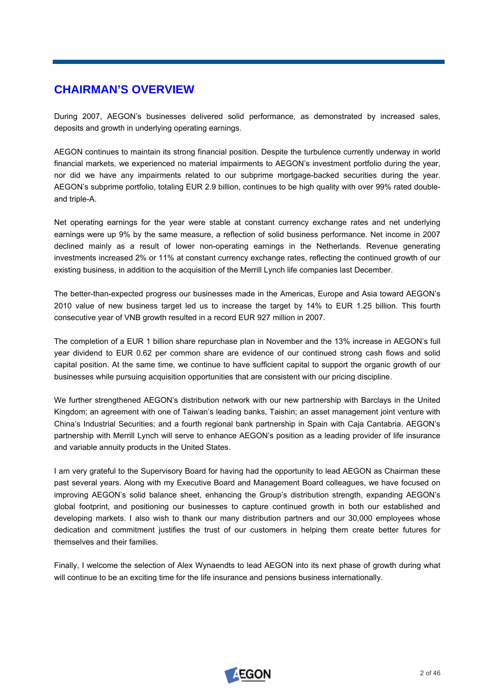# **CHAIRMAN'S OVERVIEW**

During 2007, AEGON's businesses delivered solid performance, as demonstrated by increased sales, deposits and growth in underlying operating earnings.

AEGON continues to maintain its strong financial position. Despite the turbulence currently underway in world financial markets, we experienced no material impairments to AEGON's investment portfolio during the year, nor did we have any impairments related to our subprime mortgage-backed securities during the year. AEGON's subprime portfolio, totaling EUR 2.9 billion, continues to be high quality with over 99% rated doubleand triple-A.

Net operating earnings for the year were stable at constant currency exchange rates and net underlying earnings were up 9% by the same measure, a reflection of solid business performance. Net income in 2007 declined mainly as a result of lower non-operating earnings in the Netherlands. Revenue generating investments increased 2% or 11% at constant currency exchange rates, reflecting the continued growth of our existing business, in addition to the acquisition of the Merrill Lynch life companies last December.

The better-than-expected progress our businesses made in the Americas, Europe and Asia toward AEGON's 2010 value of new business target led us to increase the target by 14% to EUR 1.25 billion. This fourth consecutive year of VNB growth resulted in a record EUR 927 million in 2007.

The completion of a EUR 1 billion share repurchase plan in November and the 13% increase in AEGON's full year dividend to EUR 0.62 per common share are evidence of our continued strong cash flows and solid capital position. At the same time, we continue to have sufficient capital to support the organic growth of our businesses while pursuing acquisition opportunities that are consistent with our pricing discipline.

We further strengthened AEGON's distribution network with our new partnership with Barclays in the United Kingdom; an agreement with one of Taiwan's leading banks, Taishin; an asset management joint venture with China's Industrial Securities; and a fourth regional bank partnership in Spain with Caja Cantabria. AEGON's partnership with Merrill Lynch will serve to enhance AEGON's position as a leading provider of life insurance and variable annuity products in the United States.

I am very grateful to the Supervisory Board for having had the opportunity to lead AEGON as Chairman these past several years. Along with my Executive Board and Management Board colleagues, we have focused on improving AEGON's solid balance sheet, enhancing the Group's distribution strength, expanding AEGON's global footprint, and positioning our businesses to capture continued growth in both our established and developing markets. I also wish to thank our many distribution partners and our 30,000 employees whose dedication and commitment justifies the trust of our customers in helping them create better futures for themselves and their families.

Finally, I welcome the selection of Alex Wynaendts to lead AEGON into its next phase of growth during what will continue to be an exciting time for the life insurance and pensions business internationally.

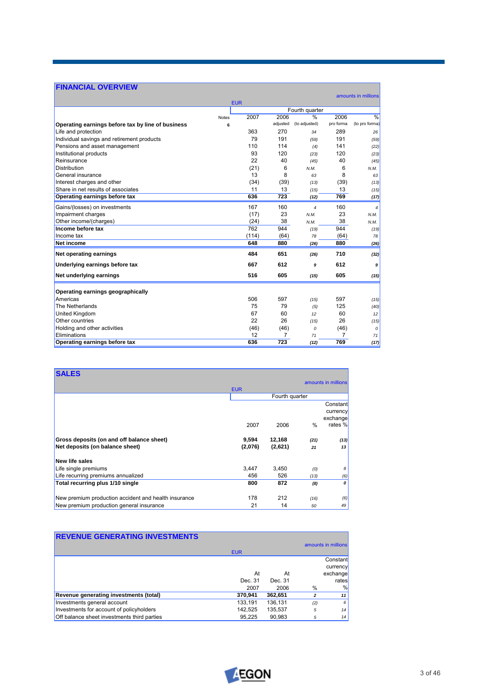# **FINANCIAL OVERVIEW**

| I INANUAL OVENVILIV                               |              |            |          |                    |                |                     |
|---------------------------------------------------|--------------|------------|----------|--------------------|----------------|---------------------|
|                                                   |              | <b>EUR</b> |          |                    |                | amounts in millions |
|                                                   |              |            |          | Fourth quarter     |                |                     |
|                                                   | <b>Notes</b> | 2007       | 2006     | $\frac{9}{6}$      | 2006           | $\frac{9}{6}$       |
| Operating earnings before tax by line of business | 6            |            | adjusted | (to adjusted)      | pro forma      | (to pro forma)      |
| Life and protection                               |              | 363        | 270      | 34                 | 289            | 26                  |
| Individual savings and retirement products        |              | 79         | 191      | (59)               | 191            | (59)                |
| Pensions and asset management                     |              | 110        | 114      | (4)                | 141            | (22)                |
| Institutional products                            |              | 93         | 120      | (23)               | 120            | (23)                |
| Reinsurance                                       |              | 22         | 40       | (45)               | 40             | (45)                |
| Distribution                                      |              | (21)       | 6        | N.M.               | 6              | N.M.                |
| General insurance                                 |              | 13         | 8        | 63                 | 8              | 63                  |
| Interest charges and other                        |              | (34)       | (39)     | (13)               | (39)           | (13)                |
| Share in net results of associates                |              | 11         | 13       | (15)               | 13             | (15)                |
| Operating earnings before tax                     |              | 636        | 723      | (12)               | 769            | (17)                |
| Gains/(losses) on investments                     |              | 167        | 160      | $\overline{\bf 4}$ | 160            | 4                   |
| Impairment charges                                |              | (17)       | 23       | N.M.               | 23             | N.M.                |
| Other income/(charges)                            |              | (24)       | 38       | N.M.               | 38             | N.M.                |
| Income before tax                                 |              | 762        | 944      | (19)               | 944            | (19)                |
| Income tax                                        |              | (114)      | (64)     | 78                 | (64)           | 78                  |
| Net income                                        |              | 648        | 880      | (26)               | 880            | (26)                |
| Net operating earnings                            |              | 484        | 651      | (26)               | 710            | (32)                |
| Underlying earnings before tax                    |              | 667        | 612      | 9                  | 612            | 9                   |
| Net underlying earnings                           |              | 516        | 605      | (15)               | 605            | (15)                |
| Operating earnings geographically                 |              |            |          |                    |                |                     |
| Americas                                          |              | 506        | 597      | (15)               | 597            | (15)                |
| The Netherlands                                   |              | 75         | 79       | (5)                | 125            | (40)                |
| United Kingdom                                    |              | 67         | 60       | 12                 | 60             | 12                  |
| Other countries                                   |              | 22         | 26       | (15)               | 26             | (15)                |
| Holding and other activities                      |              | (46)       | (46)     | 0                  | (46)           | 0                   |
| Eliminations                                      |              | 12         | 7        | 71                 | $\overline{7}$ | 71                  |
| Operating earnings before tax                     |              | 636        | 723      | (12)               | 769            | (17)                |
|                                                   |              |            |          |                    |                |                     |

| <b>SALES</b>                                         |            |                |      | amounts in millions |
|------------------------------------------------------|------------|----------------|------|---------------------|
|                                                      | <b>EUR</b> |                |      |                     |
|                                                      |            | Fourth quarter |      |                     |
|                                                      |            |                |      | Constant            |
|                                                      |            |                |      | currency            |
|                                                      |            |                |      | exchange            |
|                                                      | 2007       | 2006           | $\%$ | rates %             |
| Gross deposits (on and off balance sheet)            | 9,594      | 12,168         | (21) | (13)                |
| Net deposits (on balance sheet)                      | (2,076)    | (2,621)        | 21   | 13                  |
| New life sales                                       |            |                |      |                     |
| Life single premiums                                 | 3,447      | 3,450          | (0)  | 8                   |
| Life recurring premiums annualized                   | 456        | 526            | (13) | (6)                 |
| Total recurring plus 1/10 single                     | 800        | 872            | (8)  | 0                   |
|                                                      |            |                |      |                     |
| New premium production accident and health insurance | 178        | 212            | (16) | (6)                 |
| New premium production general insurance             | 21         | 14             | 50   | 49                  |

| <b>REVENUE GENERATING INVESTMENTS</b>       |            |         |     |                     |
|---------------------------------------------|------------|---------|-----|---------------------|
|                                             |            |         |     | amounts in millions |
|                                             | <b>EUR</b> |         |     |                     |
|                                             |            |         |     | Constant            |
|                                             |            |         |     | currency            |
|                                             | At         | At      |     | exchange            |
|                                             | Dec. 31    | Dec. 31 |     | rates               |
|                                             | 2007       | 2006    | %   | %                   |
| Revenue generating investments (total)      | 370,941    | 362,651 | 2   | 11                  |
| Investments general account                 | 133.191    | 136,131 | (2) | $6 \mid$            |
| Investments for account of policyholders    | 142,525    | 135,537 | 5   | 14                  |
| Off balance sheet investments third parties | 95.225     | 90.983  | 5   | 14                  |



┓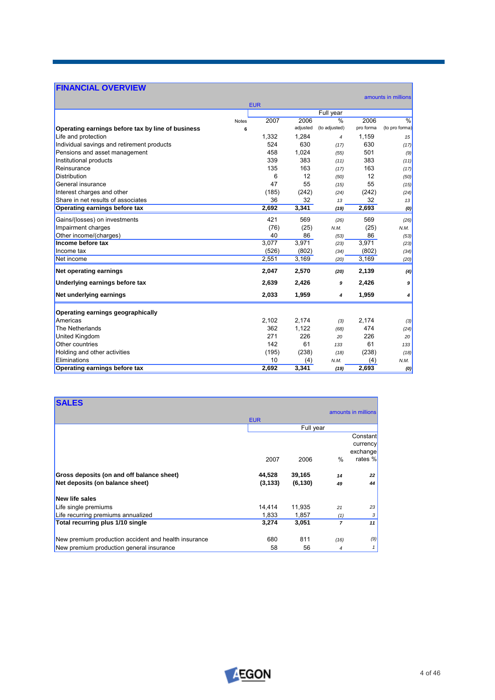# **FINANCIAL OVERVIEW**

|                                                   |       | <b>EUR</b> |          |               |           | amounts in millions |
|---------------------------------------------------|-------|------------|----------|---------------|-----------|---------------------|
|                                                   |       |            |          | Full year     |           |                     |
|                                                   | Notes | 2007       | 2006     | $\frac{9}{6}$ | 2006      | $\frac{0}{0}$       |
| Operating earnings before tax by line of business | 6     |            | adjusted | (to adjusted) | pro forma | (to pro forma)      |
| Life and protection                               |       | 1,332      | 1,284    | 4             | 1,159     | 15                  |
| Individual savings and retirement products        |       | 524        | 630      | (17)          | 630       | (17)                |
| Pensions and asset management                     |       | 458        | 1,024    | (55)          | 501       | (9)                 |
| Institutional products                            |       | 339        | 383      | (11)          | 383       | (11)                |
| Reinsurance                                       |       | 135        | 163      | (17)          | 163       | (17)                |
| <b>Distribution</b>                               |       | 6          | 12       | (50)          | 12        | (50)                |
| General insurance                                 |       | 47         | 55       | (15)          | 55        | (15)                |
| Interest charges and other                        |       | (185)      | (242)    | (24)          | (242)     | (24)                |
| Share in net results of associates                |       | 36         | 32       | 13            | 32        | 13                  |
| Operating earnings before tax                     |       | 2,692      | 3,341    | (19)          | 2,693     | (0)                 |
| Gains/(losses) on investments                     |       | 421        | 569      | (26)          | 569       | (26)                |
| Impairment charges                                |       | (76)       | (25)     | N.M.          | (25)      | N.M.                |
| Other income/(charges)                            |       | 40         | 86       | (53)          | 86        | (53)                |
| Income before tax                                 |       | 3,077      | 3,971    | (23)          | 3,971     | (23)                |
| Income tax                                        |       | (526)      | (802)    | (34)          | (802)     | (34)                |
| Net income                                        |       | 2,551      | 3,169    | (20)          | 3,169     | (20)                |
| <b>Net operating earnings</b>                     |       | 2,047      | 2,570    | (20)          | 2,139     | (4)                 |
| Underlying earnings before tax                    |       | 2,639      | 2,426    | 9             | 2,426     | 9                   |
| Net underlying earnings                           |       | 2,033      | 1,959    | 4             | 1,959     | 4                   |
| Operating earnings geographically                 |       |            |          |               |           |                     |
| Americas                                          |       | 2,102      | 2,174    | (3)           | 2,174     | (3)                 |
| The Netherlands                                   |       | 362        | 1,122    | (68)          | 474       | (24)                |
| <b>United Kingdom</b>                             |       | 271        | 226      | 20            | 226       | 20                  |
| Other countries                                   |       | 142        | 61       | 133           | 61        | 133                 |
| Holding and other activities                      |       | (195)      | (238)    | (18)          | (238)     | (18)                |
| Eliminations                                      |       | 10         | (4)      | N.M.          | (4)       | N.M.                |
| Operating earnings before tax                     |       | 2,692      | 3,341    | (19)          | 2,693     | (0)                 |

| <b>SALES</b>                                         |            |           |                |                                             |
|------------------------------------------------------|------------|-----------|----------------|---------------------------------------------|
|                                                      | <b>EUR</b> |           |                | amounts in millions                         |
|                                                      |            | Full year |                |                                             |
|                                                      | 2007       | 2006      | $\frac{0}{0}$  | Constant<br>currency<br>exchange<br>rates % |
| Gross deposits (on and off balance sheet)            | 44,528     | 39,165    | 14             | 22                                          |
| Net deposits (on balance sheet)                      | (3, 133)   | (6, 130)  | 49             | 44                                          |
| <b>New life sales</b>                                |            |           |                |                                             |
| Life single premiums                                 | 14,414     | 11,935    | 21             | 23                                          |
| Life recurring premiums annualized                   | 1,833      | 1,857     | (1)            | 3                                           |
| Total recurring plus 1/10 single                     | 3,274      | 3,051     | $\overline{z}$ | 11                                          |
|                                                      |            |           |                |                                             |
| New premium production accident and health insurance | 680        | 811       | (16)           | (9)                                         |
| New premium production general insurance             | 58         | 56        | 4              | 1                                           |



 $\overline{\phantom{0}}$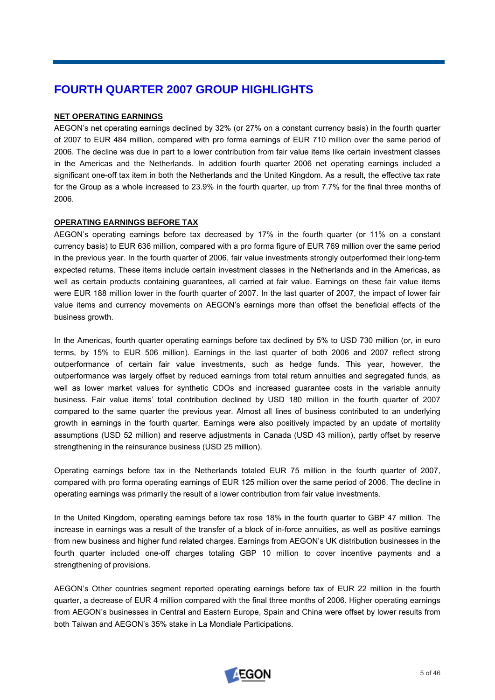# **FOURTH QUARTER 2007 GROUP HIGHLIGHTS**

# **NET OPERATING EARNINGS**

AEGON's net operating earnings declined by 32% (or 27% on a constant currency basis) in the fourth quarter of 2007 to EUR 484 million, compared with pro forma earnings of EUR 710 million over the same period of 2006. The decline was due in part to a lower contribution from fair value items like certain investment classes in the Americas and the Netherlands. In addition fourth quarter 2006 net operating earnings included a significant one-off tax item in both the Netherlands and the United Kingdom. As a result, the effective tax rate for the Group as a whole increased to 23.9% in the fourth quarter, up from 7.7% for the final three months of 2006.

# **OPERATING EARNINGS BEFORE TAX**

AEGON's operating earnings before tax decreased by 17% in the fourth quarter (or 11% on a constant currency basis) to EUR 636 million, compared with a pro forma figure of EUR 769 million over the same period in the previous year. In the fourth quarter of 2006, fair value investments strongly outperformed their long-term expected returns. These items include certain investment classes in the Netherlands and in the Americas, as well as certain products containing guarantees, all carried at fair value. Earnings on these fair value items were EUR 188 million lower in the fourth quarter of 2007. In the last quarter of 2007, the impact of lower fair value items and currency movements on AEGON's earnings more than offset the beneficial effects of the business growth.

In the Americas, fourth quarter operating earnings before tax declined by 5% to USD 730 million (or, in euro terms, by 15% to EUR 506 million). Earnings in the last quarter of both 2006 and 2007 reflect strong outperformance of certain fair value investments, such as hedge funds. This year, however, the outperformance was largely offset by reduced earnings from total return annuities and segregated funds, as well as lower market values for synthetic CDOs and increased guarantee costs in the variable annuity business. Fair value items' total contribution declined by USD 180 million in the fourth quarter of 2007 compared to the same quarter the previous year. Almost all lines of business contributed to an underlying growth in earnings in the fourth quarter. Earnings were also positively impacted by an update of mortality assumptions (USD 52 million) and reserve adjustments in Canada (USD 43 million), partly offset by reserve strengthening in the reinsurance business (USD 25 million).

Operating earnings before tax in the Netherlands totaled EUR 75 million in the fourth quarter of 2007, compared with pro forma operating earnings of EUR 125 million over the same period of 2006. The decline in operating earnings was primarily the result of a lower contribution from fair value investments.

In the United Kingdom, operating earnings before tax rose 18% in the fourth quarter to GBP 47 million. The increase in earnings was a result of the transfer of a block of in-force annuities, as well as positive earnings from new business and higher fund related charges. Earnings from AEGON's UK distribution businesses in the fourth quarter included one-off charges totaling GBP 10 million to cover incentive payments and a strengthening of provisions.

AEGON's Other countries segment reported operating earnings before tax of EUR 22 million in the fourth quarter, a decrease of EUR 4 million compared with the final three months of 2006. Higher operating earnings from AEGON's businesses in Central and Eastern Europe, Spain and China were offset by lower results from both Taiwan and AEGON's 35% stake in La Mondiale Participations.

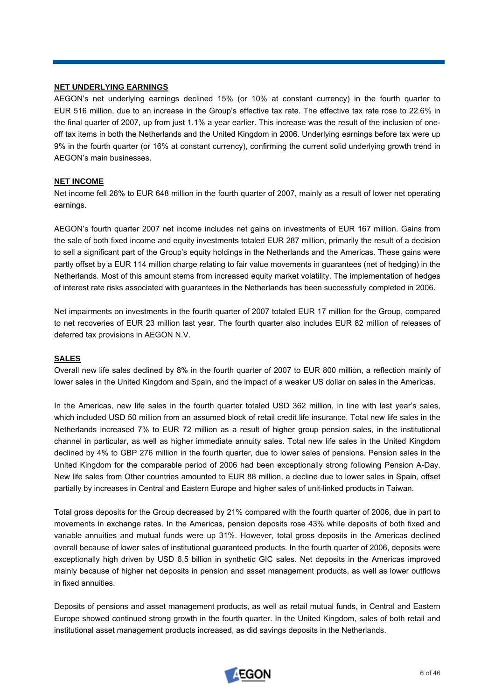# **NET UNDERLYING EARNINGS**

AEGON's net underlying earnings declined 15% (or 10% at constant currency) in the fourth quarter to EUR 516 million, due to an increase in the Group's effective tax rate. The effective tax rate rose to 22.6% in the final quarter of 2007, up from just 1.1% a year earlier. This increase was the result of the inclusion of oneoff tax items in both the Netherlands and the United Kingdom in 2006. Underlying earnings before tax were up 9% in the fourth quarter (or 16% at constant currency), confirming the current solid underlying growth trend in AEGON's main businesses.

# **NET INCOME**

Net income fell 26% to EUR 648 million in the fourth quarter of 2007, mainly as a result of lower net operating earnings.

AEGON's fourth quarter 2007 net income includes net gains on investments of EUR 167 million. Gains from the sale of both fixed income and equity investments totaled EUR 287 million, primarily the result of a decision to sell a significant part of the Group's equity holdings in the Netherlands and the Americas. These gains were partly offset by a EUR 114 million charge relating to fair value movements in quarantees (net of hedging) in the Netherlands. Most of this amount stems from increased equity market volatility. The implementation of hedges of interest rate risks associated with guarantees in the Netherlands has been successfully completed in 2006.

Net impairments on investments in the fourth quarter of 2007 totaled EUR 17 million for the Group, compared to net recoveries of EUR 23 million last year. The fourth quarter also includes EUR 82 million of releases of deferred tax provisions in AEGON N.V.

### **SALES**

Overall new life sales declined by 8% in the fourth quarter of 2007 to EUR 800 million, a reflection mainly of lower sales in the United Kingdom and Spain, and the impact of a weaker US dollar on sales in the Americas.

In the Americas, new life sales in the fourth quarter totaled USD 362 million, in line with last year's sales, which included USD 50 million from an assumed block of retail credit life insurance. Total new life sales in the Netherlands increased 7% to EUR 72 million as a result of higher group pension sales, in the institutional channel in particular, as well as higher immediate annuity sales. Total new life sales in the United Kingdom declined by 4% to GBP 276 million in the fourth quarter, due to lower sales of pensions. Pension sales in the United Kingdom for the comparable period of 2006 had been exceptionally strong following Pension A-Day. New life sales from Other countries amounted to EUR 88 million, a decline due to lower sales in Spain, offset partially by increases in Central and Eastern Europe and higher sales of unit-linked products in Taiwan.

Total gross deposits for the Group decreased by 21% compared with the fourth quarter of 2006, due in part to movements in exchange rates. In the Americas, pension deposits rose 43% while deposits of both fixed and variable annuities and mutual funds were up 31%. However, total gross deposits in the Americas declined overall because of lower sales of institutional guaranteed products. In the fourth quarter of 2006, deposits were exceptionally high driven by USD 6.5 billion in synthetic GIC sales. Net deposits in the Americas improved mainly because of higher net deposits in pension and asset management products, as well as lower outflows in fixed annuities.

Deposits of pensions and asset management products, as well as retail mutual funds, in Central and Eastern Europe showed continued strong growth in the fourth quarter. In the United Kingdom, sales of both retail and institutional asset management products increased, as did savings deposits in the Netherlands.

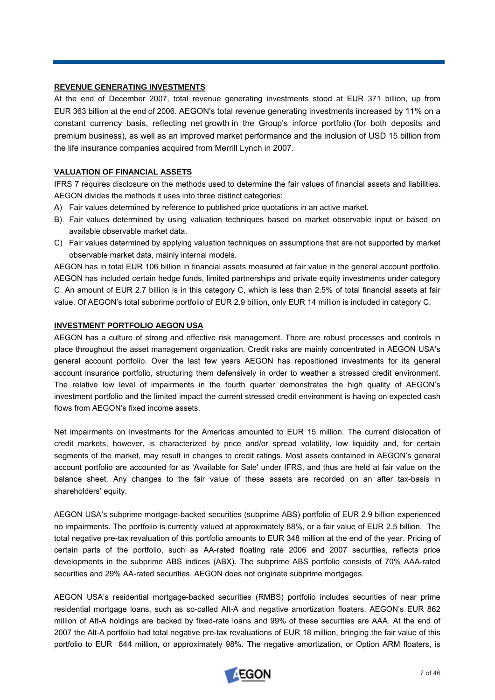### **REVENUE GENERATING INVESTMENTS**

At the end of December 2007, total revenue generating investments stood at EUR 371 billion, up from EUR 363 billion at the end of 2006. AEGON's total revenue generating investments increased by 11% on a constant currency basis, reflecting net growth in the Group's inforce portfolio (for both deposits and premium business), as well as an improved market performance and the inclusion of USD 15 billion from the life insurance companies acquired from Merrill Lynch in 2007.

# **VALUATION OF FINANCIAL ASSETS**

IFRS 7 requires disclosure on the methods used to determine the fair values of financial assets and liabilities. AEGON divides the methods it uses into three distinct categories:

- A) Fair values determined by reference to published price quotations in an active market.
- B) Fair values determined by using valuation techniques based on market observable input or based on available observable market data.
- C) Fair values determined by applying valuation techniques on assumptions that are not supported by market observable market data, mainly internal models.

AEGON has in total EUR 106 billion in financial assets measured at fair value in the general account portfolio. AEGON has included certain hedge funds, limited partnerships and private equity investments under category C. An amount of EUR 2.7 billion is in this category C, which is less than 2.5% of total financial assets at fair value. Of AEGON's total subprime portfolio of EUR 2.9 billion, only EUR 14 million is included in category C.

# **INVESTMENT PORTFOLIO AEGON USA**

AEGON has a culture of strong and effective risk management. There are robust processes and controls in place throughout the asset management organization. Credit risks are mainly concentrated in AEGON USA's general account portfolio. Over the last few years AEGON has repositioned investments for its general account insurance portfolio, structuring them defensively in order to weather a stressed credit environment. The relative low level of impairments in the fourth quarter demonstrates the high quality of AEGON's investment portfolio and the limited impact the current stressed credit environment is having on expected cash flows from AEGON's fixed income assets.

Net impairments on investments for the Americas amounted to EUR 15 million. The current dislocation of credit markets, however, is characterized by price and/or spread volatility, low liquidity and, for certain segments of the market, may result in changes to credit ratings. Most assets contained in AEGON's general account portfolio are accounted for as 'Available for Sale' under IFRS, and thus are held at fair value on the balance sheet. Any changes to the fair value of these assets are recorded on an after tax-basis in shareholders' equity.

AEGON USA's subprime mortgage-backed securities (subprime ABS) portfolio of EUR 2.9 billion experienced no impairments. The portfolio is currently valued at approximately 88%, or a fair value of EUR 2.5 billion. The total negative pre-tax revaluation of this portfolio amounts to EUR 348 million at the end of the year. Pricing of certain parts of the portfolio, such as AA-rated floating rate 2006 and 2007 securities, reflects price developments in the subprime ABS indices (ABX). The subprime ABS portfolio consists of 70% AAA-rated securities and 29% AA-rated securities. AEGON does not originate subprime mortgages.

AEGON USA's residential mortgage-backed securities (RMBS) portfolio includes securities of near prime residential mortgage loans, such as so-called Alt-A and negative amortization floaters. AEGON's EUR 862 million of Alt-A holdings are backed by fixed-rate loans and 99% of these securities are AAA. At the end of 2007 the Alt-A portfolio had total negative pre-tax revaluations of EUR 18 million, bringing the fair value of this portfolio to EUR 844 million, or approximately 98%. The negative amortization, or Option ARM floaters, is

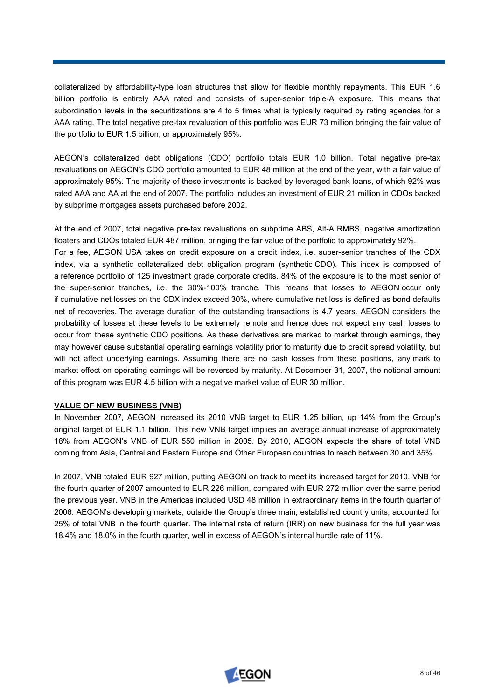collateralized by affordability-type loan structures that allow for flexible monthly repayments. This EUR 1.6 billion portfolio is entirely AAA rated and consists of super-senior triple-A exposure. This means that subordination levels in the securitizations are 4 to 5 times what is typically required by rating agencies for a AAA rating. The total negative pre-tax revaluation of this portfolio was EUR 73 million bringing the fair value of the portfolio to EUR 1.5 billion, or approximately 95%.

AEGON's collateralized debt obligations (CDO) portfolio totals EUR 1.0 billion. Total negative pre-tax revaluations on AEGON's CDO portfolio amounted to EUR 48 million at the end of the year, with a fair value of approximately 95%. The majority of these investments is backed by leveraged bank loans, of which 92% was rated AAA and AA at the end of 2007. The portfolio includes an investment of EUR 21 million in CDOs backed by subprime mortgages assets purchased before 2002.

At the end of 2007, total negative pre-tax revaluations on subprime ABS, Alt-A RMBS, negative amortization floaters and CDOs totaled EUR 487 million, bringing the fair value of the portfolio to approximately 92%.

For a fee, AEGON USA takes on credit exposure on a credit index, i.e. super-senior tranches of the CDX index, via a synthetic collateralized debt obligation program (synthetic CDO). This index is composed of a reference portfolio of 125 investment grade corporate credits. 84% of the exposure is to the most senior of the super-senior tranches, i.e. the 30%-100% tranche. This means that losses to AEGON occur only if cumulative net losses on the CDX index exceed 30%, where cumulative net loss is defined as bond defaults net of recoveries. The average duration of the outstanding transactions is 4.7 years. AEGON considers the probability of losses at these levels to be extremely remote and hence does not expect any cash losses to occur from these synthetic CDO positions. As these derivatives are marked to market through earnings, they may however cause substantial operating earnings volatility prior to maturity due to credit spread volatility, but will not affect underlying earnings. Assuming there are no cash losses from these positions, any mark to market effect on operating earnings will be reversed by maturity. At December 31, 2007, the notional amount of this program was EUR 4.5 billion with a negative market value of EUR 30 million.

### **VALUE OF NEW BUSINESS (VNB)**

In November 2007, AEGON increased its 2010 VNB target to EUR 1.25 billion, up 14% from the Group's original target of EUR 1.1 billion. This new VNB target implies an average annual increase of approximately 18% from AEGON's VNB of EUR 550 million in 2005. By 2010, AEGON expects the share of total VNB coming from Asia, Central and Eastern Europe and Other European countries to reach between 30 and 35%.

In 2007, VNB totaled EUR 927 million, putting AEGON on track to meet its increased target for 2010. VNB for the fourth quarter of 2007 amounted to EUR 226 million, compared with EUR 272 million over the same period the previous year. VNB in the Americas included USD 48 million in extraordinary items in the fourth quarter of 2006. AEGON's developing markets, outside the Group's three main, established country units, accounted for 25% of total VNB in the fourth quarter. The internal rate of return (IRR) on new business for the full year was 18.4% and 18.0% in the fourth quarter, well in excess of AEGON's internal hurdle rate of 11%.

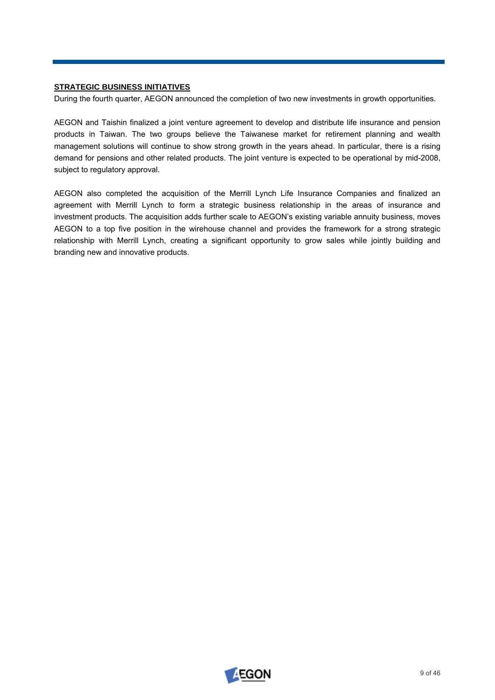# **STRATEGIC BUSINESS INITIATIVES**

During the fourth quarter, AEGON announced the completion of two new investments in growth opportunities.

AEGON and Taishin finalized a joint venture agreement to develop and distribute life insurance and pension products in Taiwan. The two groups believe the Taiwanese market for retirement planning and wealth management solutions will continue to show strong growth in the years ahead. In particular, there is a rising demand for pensions and other related products. The joint venture is expected to be operational by mid-2008, subject to regulatory approval.

AEGON also completed the acquisition of the Merrill Lynch Life Insurance Companies and finalized an agreement with Merrill Lynch to form a strategic business relationship in the areas of insurance and investment products. The acquisition adds further scale to AEGON's existing variable annuity business, moves AEGON to a top five position in the wirehouse channel and provides the framework for a strong strategic relationship with Merrill Lynch, creating a significant opportunity to grow sales while jointly building and branding new and innovative products.

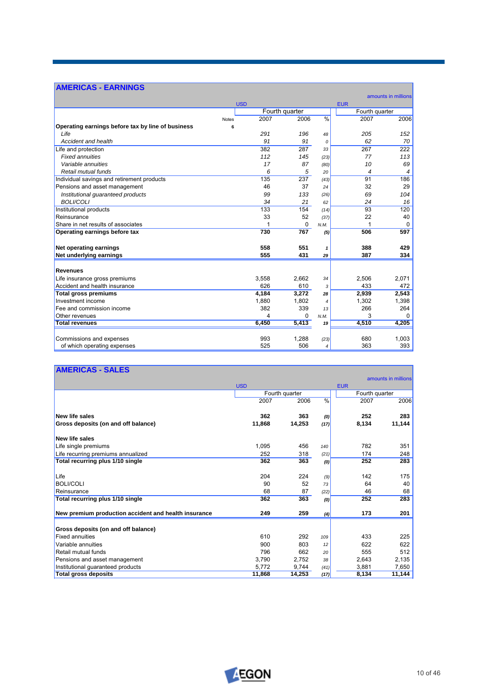# **AMERICAS - EARNINGS**

|                                                   |            |                |                          |                | amounts in millions |
|---------------------------------------------------|------------|----------------|--------------------------|----------------|---------------------|
|                                                   | <b>USD</b> |                |                          | <b>EUR</b>     |                     |
|                                                   |            | Fourth quarter |                          |                | Fourth quarter      |
| <b>Notes</b>                                      | 2007       | 2006           | $\frac{0}{6}$            | 2007           | 2006                |
| Operating earnings before tax by line of business | 6          |                |                          |                |                     |
| Life                                              | 291        | 196            | 48                       | 205            | 152                 |
| Accident and health                               | 91         | 91             | $\Omega$                 | 62             | 70                  |
| Life and protection                               | 382        | 287            | 33                       | 267            | 222                 |
| <b>Fixed annuities</b>                            | 112        | 145            | (23)                     | 77             | 113                 |
| Variable annuities                                | 17         | 87             | (80)                     | 10             | 69                  |
| Retail mutual funds                               | 6          | 5              | 20                       | $\overline{4}$ | $\overline{4}$      |
| Individual savings and retirement products        | 135        | 237            | (43)                     | 91             | 186                 |
| Pensions and asset management                     | 46         | 37             | 24                       | 32             | 29                  |
| Institutional guaranteed products                 | 99         | 133            | (26)                     | 69             | 104                 |
| <b>BOLI/COLI</b>                                  | 34         | 21             | 62                       | 24             | 16                  |
| Institutional products                            | 133        | 154            | (14)                     | 93             | 120                 |
| Reinsurance                                       | 33         | 52             | (37)                     | 22             | 40                  |
| Share in net results of associates                |            | 0              | N.M.                     |                | $\mathbf 0$         |
| Operating earnings before tax                     | 730        | 767            | (5)                      | 506            | 597                 |
| Net operating earnings                            | 558        | 551            | 1                        | 388            | 429                 |
| Net underlying earnings                           | 555        | 431            | 29                       | 387            | 334                 |
| <b>Revenues</b>                                   |            |                |                          |                |                     |
| Life insurance gross premiums                     | 3,558      | 2,662          | 34                       | 2,506          | 2,071               |
| Accident and health insurance                     | 626        | 610            | 3                        | 433            | 472                 |
| <b>Total gross premiums</b>                       | 4.184      | 3.272          | 28                       | 2.939          | 2.543               |
| Investment income                                 | 1,880      | 1.802          | $\overline{\mathcal{L}}$ | 1,302          | 1,398               |
| Fee and commission income                         | 382        | 339            | 13                       | 266            | 264                 |
| Other revenues                                    | 4          | $\Omega$       | N.M.                     | 3              | $\Omega$            |
| <b>Total revenues</b>                             | 6,450      | 5,413          | 19                       | 4,510          | 4,205               |
|                                                   |            |                |                          |                |                     |
| Commissions and expenses                          | 993        | 1.288          | (23)                     | 680            | 1.003               |
| of which operating expenses                       | 525        | 506            | $\overline{\mathcal{L}}$ | 363            | 393                 |

<u> Tanzania (h. 1888).</u>

# **AMERICAS - SALES**

|                                                      |            |                |               |                | amounts in millions |
|------------------------------------------------------|------------|----------------|---------------|----------------|---------------------|
|                                                      | <b>USD</b> |                |               | <b>EUR</b>     |                     |
|                                                      |            | Fourth quarter |               | Fourth quarter |                     |
|                                                      | 2007       | 2006           | $\frac{0}{0}$ | 2007           | 2006                |
| <b>New life sales</b>                                | 362        | 363            | (0)           | 252            | 283                 |
| Gross deposits (on and off balance)                  | 11.868     | 14,253         | (17)          | 8,134          | 11,144              |
| <b>New life sales</b>                                |            |                |               |                |                     |
| Life single premiums                                 | 1.095      | 456            | 140           | 782            | 351                 |
| Life recurring premiums annualized                   | 252        | 318            | (21)          | 174            | 248                 |
| Total recurring plus 1/10 single                     | 362        | 363            | (0)           | 252            | 283                 |
| Life                                                 | 204        | 224            | (9)           | 142            | 175                 |
| <b>BOLI/COLI</b>                                     | 90         | 52             | 73            | 64             | 40                  |
| Reinsurance                                          | 68         | 87             | (22)          | 46             | 68                  |
| Total recurring plus 1/10 single                     | 362        | 363            | (0)           | 252            | 283                 |
| New premium production accident and health insurance | 249        | 259            | (4)           | 173            | 201                 |
| Gross deposits (on and off balance)                  |            |                |               |                |                     |
| <b>Fixed annuities</b>                               | 610        | 292            | 109           | 433            | 225                 |
| Variable annuities                                   | 900        | 803            | 12            | 622            | 622                 |
| Retail mutual funds                                  | 796        | 662            | 20            | 555            | 512                 |
| Pensions and asset management                        | 3,790      | 2.752          | 38            | 2.643          | 2,135               |
| Institutional guaranteed products                    | 5,772      | 9,744          | (41)          | 3,881          | 7,650               |
| <b>Total gross deposits</b>                          | 11,868     | 14,253         | (17)          | 8,134          | 11,144              |



٦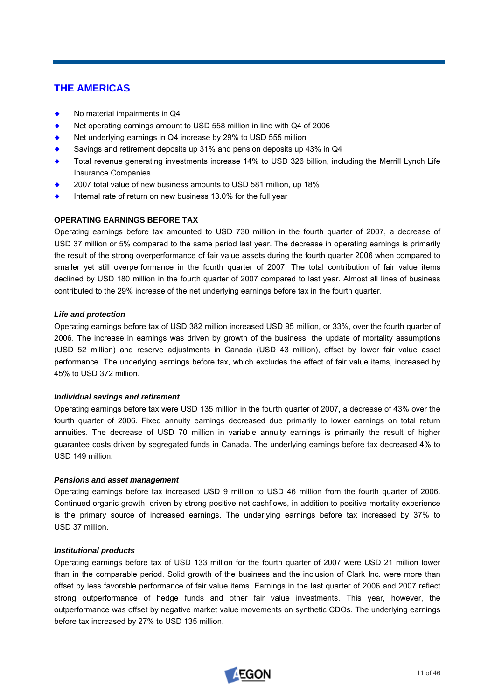# **THE AMERICAS**

- No material impairments in Q4
- Net operating earnings amount to USD 558 million in line with Q4 of 2006
- Net underlying earnings in Q4 increase by 29% to USD 555 million
- Savings and retirement deposits up 31% and pension deposits up 43% in Q4
- Total revenue generating investments increase 14% to USD 326 billion, including the Merrill Lynch Life Insurance Companies
- ¡ 2007 total value of new business amounts to USD 581 million, up 18%
- Internal rate of return on new business 13.0% for the full year

# **OPERATING EARNINGS BEFORE TAX**

Operating earnings before tax amounted to USD 730 million in the fourth quarter of 2007, a decrease of USD 37 million or 5% compared to the same period last year. The decrease in operating earnings is primarily the result of the strong overperformance of fair value assets during the fourth quarter 2006 when compared to smaller yet still overperformance in the fourth quarter of 2007. The total contribution of fair value items declined by USD 180 million in the fourth quarter of 2007 compared to last year. Almost all lines of business contributed to the 29% increase of the net underlying earnings before tax in the fourth quarter.

# *Life and protection*

Operating earnings before tax of USD 382 million increased USD 95 million, or 33%, over the fourth quarter of 2006. The increase in earnings was driven by growth of the business, the update of mortality assumptions (USD 52 million) and reserve adjustments in Canada (USD 43 million), offset by lower fair value asset performance. The underlying earnings before tax, which excludes the effect of fair value items, increased by 45% to USD 372 million.

### *Individual savings and retirement*

Operating earnings before tax were USD 135 million in the fourth quarter of 2007, a decrease of 43% over the fourth quarter of 2006. Fixed annuity earnings decreased due primarily to lower earnings on total return annuities. The decrease of USD 70 million in variable annuity earnings is primarily the result of higher guarantee costs driven by segregated funds in Canada. The underlying earnings before tax decreased 4% to USD 149 million.

### *Pensions and asset management*

Operating earnings before tax increased USD 9 million to USD 46 million from the fourth quarter of 2006. Continued organic growth, driven by strong positive net cashflows, in addition to positive mortality experience is the primary source of increased earnings. The underlying earnings before tax increased by 37% to USD 37 million.

### *Institutional products*

Operating earnings before tax of USD 133 million for the fourth quarter of 2007 were USD 21 million lower than in the comparable period. Solid growth of the business and the inclusion of Clark Inc. were more than offset by less favorable performance of fair value items. Earnings in the last quarter of 2006 and 2007 reflect strong outperformance of hedge funds and other fair value investments. This year, however, the outperformance was offset by negative market value movements on synthetic CDOs. The underlying earnings before tax increased by 27% to USD 135 million.

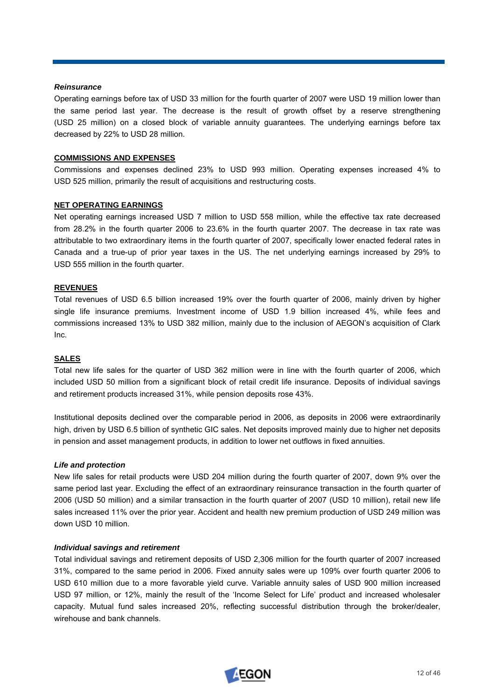### *Reinsurance*

Operating earnings before tax of USD 33 million for the fourth quarter of 2007 were USD 19 million lower than the same period last year. The decrease is the result of growth offset by a reserve strengthening (USD 25 million) on a closed block of variable annuity guarantees. The underlying earnings before tax decreased by 22% to USD 28 million.

### **COMMISSIONS AND EXPENSES**

Commissions and expenses declined 23% to USD 993 million. Operating expenses increased 4% to USD 525 million, primarily the result of acquisitions and restructuring costs.

### **NET OPERATING EARNINGS**

Net operating earnings increased USD 7 million to USD 558 million, while the effective tax rate decreased from 28.2% in the fourth quarter 2006 to 23.6% in the fourth quarter 2007. The decrease in tax rate was attributable to two extraordinary items in the fourth quarter of 2007, specifically lower enacted federal rates in Canada and a true-up of prior year taxes in the US. The net underlying earnings increased by 29% to USD 555 million in the fourth quarter.

### **REVENUES**

Total revenues of USD 6.5 billion increased 19% over the fourth quarter of 2006, mainly driven by higher single life insurance premiums. Investment income of USD 1.9 billion increased 4%, while fees and commissions increased 13% to USD 382 million, mainly due to the inclusion of AEGON's acquisition of Clark Inc.

# **SALES**

Total new life sales for the quarter of USD 362 million were in line with the fourth quarter of 2006, which included USD 50 million from a significant block of retail credit life insurance. Deposits of individual savings and retirement products increased 31%, while pension deposits rose 43%.

Institutional deposits declined over the comparable period in 2006, as deposits in 2006 were extraordinarily high, driven by USD 6.5 billion of synthetic GIC sales. Net deposits improved mainly due to higher net deposits in pension and asset management products, in addition to lower net outflows in fixed annuities.

### *Life and protection*

New life sales for retail products were USD 204 million during the fourth quarter of 2007, down 9% over the same period last year. Excluding the effect of an extraordinary reinsurance transaction in the fourth quarter of 2006 (USD 50 million) and a similar transaction in the fourth quarter of 2007 (USD 10 million), retail new life sales increased 11% over the prior year. Accident and health new premium production of USD 249 million was down USD 10 million.

### *Individual savings and retirement*

Total individual savings and retirement deposits of USD 2,306 million for the fourth quarter of 2007 increased 31%, compared to the same period in 2006. Fixed annuity sales were up 109% over fourth quarter 2006 to USD 610 million due to a more favorable yield curve. Variable annuity sales of USD 900 million increased USD 97 million, or 12%, mainly the result of the 'Income Select for Life' product and increased wholesaler capacity. Mutual fund sales increased 20%, reflecting successful distribution through the broker/dealer, wirehouse and bank channels.

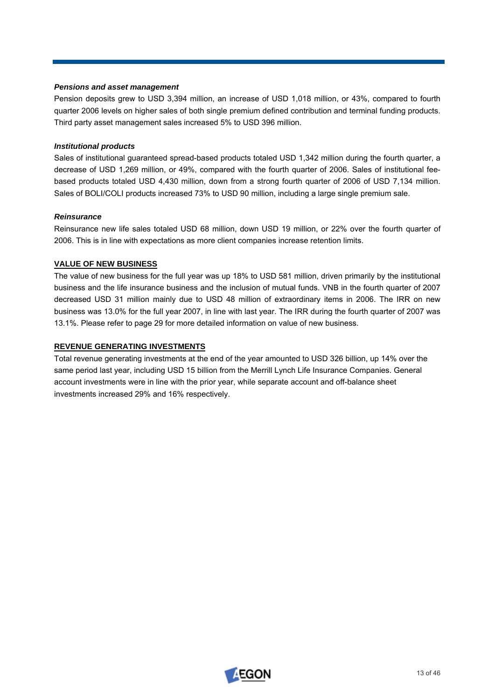# *Pensions and asset management*

Pension deposits grew to USD 3,394 million, an increase of USD 1,018 million, or 43%, compared to fourth quarter 2006 levels on higher sales of both single premium defined contribution and terminal funding products. Third party asset management sales increased 5% to USD 396 million.

# *Institutional products*

Sales of institutional guaranteed spread-based products totaled USD 1,342 million during the fourth quarter, a decrease of USD 1,269 million, or 49%, compared with the fourth quarter of 2006. Sales of institutional feebased products totaled USD 4,430 million, down from a strong fourth quarter of 2006 of USD 7,134 million. Sales of BOLI/COLI products increased 73% to USD 90 million, including a large single premium sale.

# *Reinsurance*

Reinsurance new life sales totaled USD 68 million, down USD 19 million, or 22% over the fourth quarter of 2006. This is in line with expectations as more client companies increase retention limits.

# **VALUE OF NEW BUSINESS**

The value of new business for the full year was up 18% to USD 581 million, driven primarily by the institutional business and the life insurance business and the inclusion of mutual funds. VNB in the fourth quarter of 2007 decreased USD 31 million mainly due to USD 48 million of extraordinary items in 2006. The IRR on new business was 13.0% for the full year 2007, in line with last year. The IRR during the fourth quarter of 2007 was 13.1%. Please refer to page 29 for more detailed information on value of new business.

# **REVENUE GENERATING INVESTMENTS**

Total revenue generating investments at the end of the year amounted to USD 326 billion, up 14% over the same period last year, including USD 15 billion from the Merrill Lynch Life Insurance Companies. General account investments were in line with the prior year, while separate account and off-balance sheet investments increased 29% and 16% respectively.

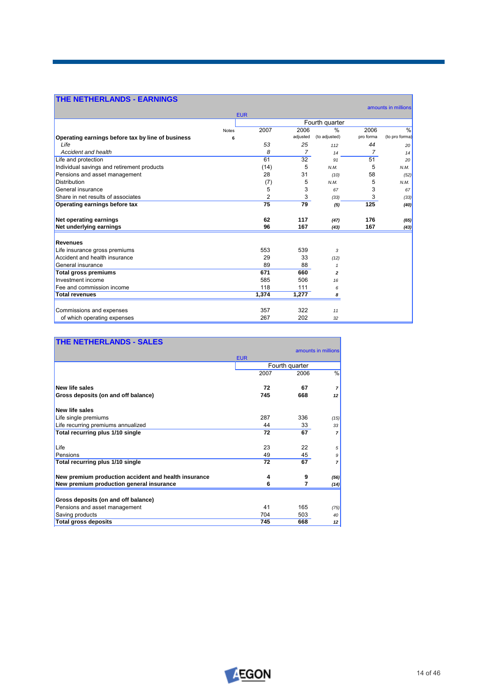| <b>THE NETHERLANDS - EARNINGS</b>                 |              |            |                |                |           |                     |
|---------------------------------------------------|--------------|------------|----------------|----------------|-----------|---------------------|
|                                                   |              | <b>EUR</b> |                |                |           | amounts in millions |
|                                                   |              |            |                | Fourth quarter |           |                     |
|                                                   | <b>Notes</b> | 2007       | 2006           | $\frac{9}{6}$  | 2006      | $\frac{0}{6}$       |
| Operating earnings before tax by line of business | 6            |            | adjusted       | (to adjusted)  | pro forma | (to pro forma)      |
| I ife                                             |              | 53         | 25             | 112            | 44        | 20                  |
| <b>Accident and health</b>                        |              | 8          | $\overline{7}$ | 14             | 7         | 14                  |
| Life and protection                               |              | 61         | 32             | 91             | 51        | 20                  |
| Individual savings and retirement products        |              | (14)       | 5              | N.M.           | 5         | N.M.                |
| Pensions and asset management                     |              | 28         | 31             | (10)           | 58        | (52)                |
| <b>Distribution</b>                               |              | (7)        | 5              | N.M.           | 5         | N.M.                |
| General insurance                                 |              | 5          | 3              | 67             | 3         | 67                  |
| Share in net results of associates                |              | 2          | 3              | (33)           | 3         | (33)                |
| Operating earnings before tax                     |              | 75         | 79             | (5)            | 125       | (40)                |
| Net operating earnings                            |              | 62         | 117            | (47)           | 176       | (65)                |
| Net underlying earnings                           |              | 96         | 167            | (43)           | 167       | (43)                |
| <b>Revenues</b>                                   |              |            |                |                |           |                     |
| Life insurance gross premiums                     |              | 553        | 539            | 3              |           |                     |
| Accident and health insurance                     |              | 29         | 33             | (12)           |           |                     |
| General insurance                                 |              | 89         | 88             | $\mathbf{1}$   |           |                     |
| <b>Total gross premiums</b>                       |              | 671        | 660            | $\overline{2}$ |           |                     |
| Investment income                                 |              | 585        | 506            | 16             |           |                     |
| Fee and commission income                         |              | 118        | 111            | 6              |           |                     |
| <b>Total revenues</b>                             |              | 1.374      | 1.277          | 8              |           |                     |
| Commissions and expenses                          |              | 357        | 322            | 11             |           |                     |
| of which operating expenses                       |              | 267        | 202            | 32             |           |                     |

٦

# **THE NETHERLANDS - SALES**

|                                                      |            | amounts in millions |                |
|------------------------------------------------------|------------|---------------------|----------------|
|                                                      | <b>EUR</b> |                     |                |
|                                                      |            | Fourth quarter      |                |
|                                                      | 2007       | 2006                | $\frac{9}{6}$  |
| <b>New life sales</b>                                | 72         | 67                  | 7              |
| Gross deposits (on and off balance)                  | 745        | 668                 | 12             |
| <b>New life sales</b>                                |            |                     |                |
| Life single premiums                                 | 287        | 336                 | (15)           |
| Life recurring premiums annualized                   | 44         | 33                  | 33             |
| Total recurring plus 1/10 single                     | 72         | 67                  | $\overline{7}$ |
| Life                                                 | 23         | 22                  | 5              |
| Pensions                                             | 49         | 45                  | 9              |
| Total recurring plus 1/10 single                     | 72         | 67                  | $\overline{7}$ |
| New premium production accident and health insurance | 4          | 9                   | (56)           |
| New premium production general insurance             | հ          |                     | (14)           |
|                                                      |            |                     |                |
| Gross deposits (on and off balance)                  |            |                     |                |
| Pensions and asset management                        | 41         | 165                 | (75)           |
| Saving products                                      | 704        | 503                 | 40             |
| <b>Total gross deposits</b>                          | 745        | 668                 | 12             |

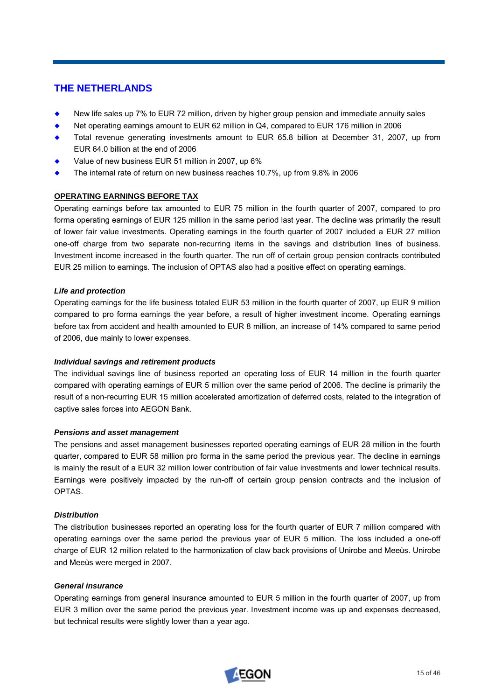# **THE NETHERLANDS**

- New life sales up 7% to EUR 72 million, driven by higher group pension and immediate annuity sales
- Net operating earnings amount to EUR 62 million in Q4, compared to EUR 176 million in 2006
- ¡ Total revenue generating investments amount to EUR 65.8 billion at December 31, 2007, up from EUR 64.0 billion at the end of 2006
- Value of new business EUR 51 million in 2007, up 6%
- The internal rate of return on new business reaches 10.7%, up from 9.8% in 2006

# **OPERATING EARNINGS BEFORE TAX**

Operating earnings before tax amounted to EUR 75 million in the fourth quarter of 2007, compared to pro forma operating earnings of EUR 125 million in the same period last year. The decline was primarily the result of lower fair value investments. Operating earnings in the fourth quarter of 2007 included a EUR 27 million one-off charge from two separate non-recurring items in the savings and distribution lines of business. Investment income increased in the fourth quarter. The run off of certain group pension contracts contributed EUR 25 million to earnings. The inclusion of OPTAS also had a positive effect on operating earnings.

### *Life and protection*

Operating earnings for the life business totaled EUR 53 million in the fourth quarter of 2007, up EUR 9 million compared to pro forma earnings the year before, a result of higher investment income. Operating earnings before tax from accident and health amounted to EUR 8 million, an increase of 14% compared to same period of 2006, due mainly to lower expenses.

### *Individual savings and retirement products*

The individual savings line of business reported an operating loss of EUR 14 million in the fourth quarter compared with operating earnings of EUR 5 million over the same period of 2006. The decline is primarily the result of a non-recurring EUR 15 million accelerated amortization of deferred costs, related to the integration of captive sales forces into AEGON Bank.

### *Pensions and asset management*

The pensions and asset management businesses reported operating earnings of EUR 28 million in the fourth quarter, compared to EUR 58 million pro forma in the same period the previous year. The decline in earnings is mainly the result of a EUR 32 million lower contribution of fair value investments and lower technical results. Earnings were positively impacted by the run-off of certain group pension contracts and the inclusion of OPTAS.

# *Distribution*

The distribution businesses reported an operating loss for the fourth quarter of EUR 7 million compared with operating earnings over the same period the previous year of EUR 5 million. The loss included a one-off charge of EUR 12 million related to the harmonization of claw back provisions of Unirobe and Meeùs. Unirobe and Meeùs were merged in 2007.

### *General insurance*

Operating earnings from general insurance amounted to EUR 5 million in the fourth quarter of 2007, up from EUR 3 million over the same period the previous year. Investment income was up and expenses decreased, but technical results were slightly lower than a year ago.

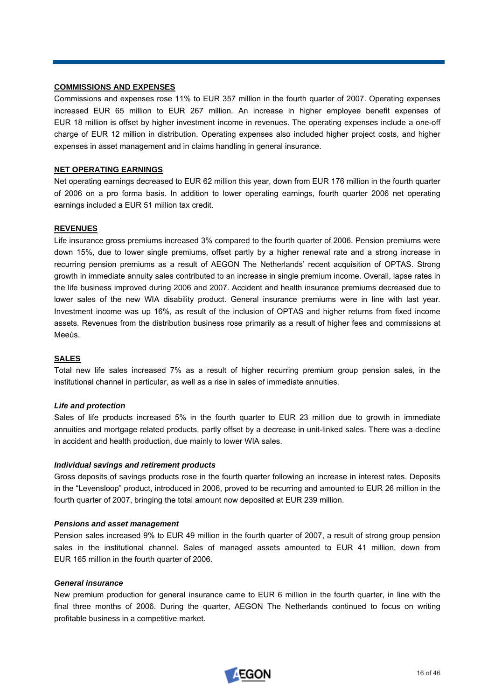### **COMMISSIONS AND EXPENSES**

Commissions and expenses rose 11% to EUR 357 million in the fourth quarter of 2007. Operating expenses increased EUR 65 million to EUR 267 million. An increase in higher employee benefit expenses of EUR 18 million is offset by higher investment income in revenues. The operating expenses include a one-off charge of EUR 12 million in distribution. Operating expenses also included higher project costs, and higher expenses in asset management and in claims handling in general insurance.

### **NET OPERATING EARNINGS**

Net operating earnings decreased to EUR 62 million this year, down from EUR 176 million in the fourth quarter of 2006 on a pro forma basis. In addition to lower operating earnings, fourth quarter 2006 net operating earnings included a EUR 51 million tax credit.

### **REVENUES**

Life insurance gross premiums increased 3% compared to the fourth quarter of 2006. Pension premiums were down 15%, due to lower single premiums, offset partly by a higher renewal rate and a strong increase in recurring pension premiums as a result of AEGON The Netherlands' recent acquisition of OPTAS. Strong growth in immediate annuity sales contributed to an increase in single premium income. Overall, lapse rates in the life business improved during 2006 and 2007. Accident and health insurance premiums decreased due to lower sales of the new WIA disability product. General insurance premiums were in line with last year. Investment income was up 16%, as result of the inclusion of OPTAS and higher returns from fixed income assets. Revenues from the distribution business rose primarily as a result of higher fees and commissions at Meeùs.

# **SALES**

Total new life sales increased 7% as a result of higher recurring premium group pension sales, in the institutional channel in particular, as well as a rise in sales of immediate annuities.

### *Life and protection*

Sales of life products increased 5% in the fourth quarter to EUR 23 million due to growth in immediate annuities and mortgage related products, partly offset by a decrease in unit-linked sales. There was a decline in accident and health production, due mainly to lower WIA sales.

### *Individual savings and retirement products*

Gross deposits of savings products rose in the fourth quarter following an increase in interest rates. Deposits in the "Levensloop" product, introduced in 2006, proved to be recurring and amounted to EUR 26 million in the fourth quarter of 2007, bringing the total amount now deposited at EUR 239 million.

### *Pensions and asset management*

Pension sales increased 9% to EUR 49 million in the fourth quarter of 2007, a result of strong group pension sales in the institutional channel. Sales of managed assets amounted to EUR 41 million, down from EUR 165 million in the fourth quarter of 2006.

### *General insurance*

New premium production for general insurance came to EUR 6 million in the fourth quarter, in line with the final three months of 2006. During the quarter, AEGON The Netherlands continued to focus on writing profitable business in a competitive market.

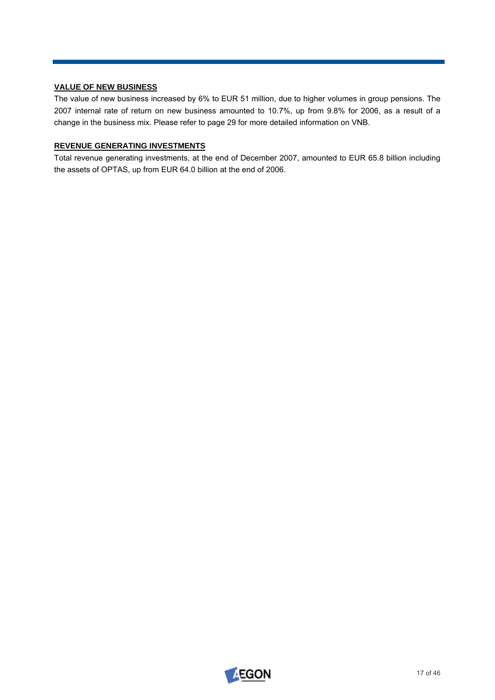# **VALUE OF NEW BUSINESS**

The value of new business increased by 6% to EUR 51 million, due to higher volumes in group pensions. The 2007 internal rate of return on new business amounted to 10.7%, up from 9.8% for 2006, as a result of a change in the business mix. Please refer to page 29 for more detailed information on VNB.

# **REVENUE GENERATING INVESTMENTS**

Total revenue generating investments, at the end of December 2007, amounted to EUR 65.8 billion including the assets of OPTAS, up from EUR 64.0 billion at the end of 2006.

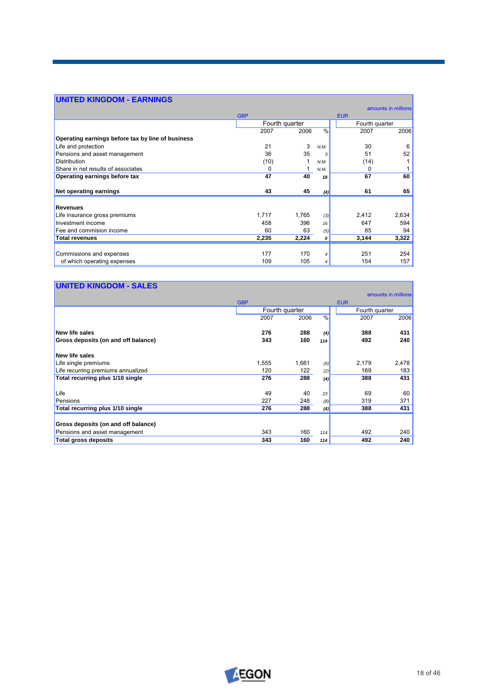# **UNITED KINGDOM - EARNINGS**

|                                                   |            |                |               |                | amounts in millions |
|---------------------------------------------------|------------|----------------|---------------|----------------|---------------------|
|                                                   | <b>GBP</b> |                |               | <b>EUR</b>     |                     |
|                                                   |            | Fourth quarter |               | Fourth quarter |                     |
|                                                   | 2007       | 2006           | $\frac{0}{0}$ | 2007           | 2006                |
| Operating earnings before tax by line of business |            |                |               |                |                     |
| Life and protection                               | 21         | 3              | N.M.          | 30             | 6                   |
| Pensions and asset management                     | 36         | 35             | 3             | 51             | 52                  |
| <b>Distribution</b>                               | (10)       |                | N.M.          | (14)           |                     |
| Share in net results of associates                | 0          |                | N.M.          | 0              |                     |
| Operating earnings before tax                     | 47         | 40             | 18            | 67             | 60                  |
| <b>Net operating earnings</b>                     | 43         | 45             | (4)           | 61             | 65                  |
| <b>Revenues</b>                                   |            |                |               |                |                     |
| Life insurance gross premiums                     | 1,717      | 1,765          | (3)           | 2,412          | 2,634               |
| Investment income                                 | 458        | 396            | 16            | 647            | 594                 |
| Fee and commision income                          | 60         | 63             | (5)           | 85             | 94                  |
| <b>Total revenues</b>                             | 2,235      | 2,224          | 0             | 3,144          | 3,322               |
| Commissions and expenses                          | 177        | 170            | 4             | 251            | 254                 |
| of which operating expenses                       | 109        | 105            | 4             | 154            | 157                 |

| <b>UNITED KINGDOM - SALES</b>       |            |                |               |                |                     |
|-------------------------------------|------------|----------------|---------------|----------------|---------------------|
|                                     |            |                |               |                | amounts in millions |
|                                     | <b>GBP</b> |                |               | <b>EUR</b>     |                     |
|                                     |            | Fourth quarter |               | Fourth quarter |                     |
|                                     | 2007       | 2006           | $\frac{0}{6}$ | 2007           | 2006                |
| New life sales                      | 276        | 288            | (4)           | 388            | 431                 |
| Gross deposits (on and off balance) | 343        | 160            | 114           | 492            | 240                 |
| New life sales                      |            |                |               |                |                     |
| Life single premiums                | 1,555      | 1,661          | (6)           | 2.179          | 2,478               |
| Life recurring premiums annualized  | 120        | 122            | (2)           | 169            | 183                 |
| Total recurring plus 1/10 single    | 276        | 288            | (4)           | 388            | 431                 |
| Life                                | 49         | 40             | 23            | 69             | 60                  |
| Pensions                            | 227        | 248            | (8)           | 319            | 371                 |
| Total recurring plus 1/10 single    | 276        | 288            | (4)           | 388            | 431                 |
| Gross deposits (on and off balance) |            |                |               |                |                     |
| Pensions and asset management       | 343        | 160            | 114           | 492            | 240                 |
| <b>Total gross deposits</b>         | 343        | 160            | 114           | 492            | 240                 |



┓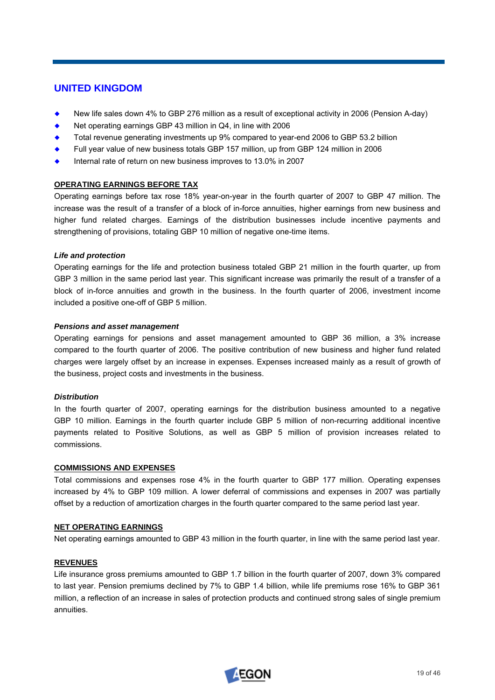# **UNITED KINGDOM**

- New life sales down 4% to GBP 276 million as a result of exceptional activity in 2006 (Pension A-day)
- Net operating earnings GBP 43 million in Q4, in line with 2006
- ¡ Total revenue generating investments up 9% compared to year-end 2006 to GBP 53.2 billion
- ¡ Full year value of new business totals GBP 157 million, up from GBP 124 million in 2006
- Internal rate of return on new business improves to 13.0% in 2007

# **OPERATING EARNINGS BEFORE TAX**

Operating earnings before tax rose 18% year-on-year in the fourth quarter of 2007 to GBP 47 million. The increase was the result of a transfer of a block of in-force annuities, higher earnings from new business and higher fund related charges. Earnings of the distribution businesses include incentive payments and strengthening of provisions, totaling GBP 10 million of negative one-time items.

### *Life and protection*

Operating earnings for the life and protection business totaled GBP 21 million in the fourth quarter, up from GBP 3 million in the same period last year. This significant increase was primarily the result of a transfer of a block of in-force annuities and growth in the business. In the fourth quarter of 2006, investment income included a positive one-off of GBP 5 million.

### *Pensions and asset management*

Operating earnings for pensions and asset management amounted to GBP 36 million, a 3% increase compared to the fourth quarter of 2006. The positive contribution of new business and higher fund related charges were largely offset by an increase in expenses. Expenses increased mainly as a result of growth of the business, project costs and investments in the business.

### *Distribution*

In the fourth quarter of 2007, operating earnings for the distribution business amounted to a negative GBP 10 million. Earnings in the fourth quarter include GBP 5 million of non-recurring additional incentive payments related to Positive Solutions, as well as GBP 5 million of provision increases related to commissions.

### **COMMISSIONS AND EXPENSES**

Total commissions and expenses rose 4% in the fourth quarter to GBP 177 million. Operating expenses increased by 4% to GBP 109 million. A lower deferral of commissions and expenses in 2007 was partially offset by a reduction of amortization charges in the fourth quarter compared to the same period last year.

### **NET OPERATING EARNINGS**

Net operating earnings amounted to GBP 43 million in the fourth quarter, in line with the same period last year.

### **REVENUES**

Life insurance gross premiums amounted to GBP 1.7 billion in the fourth quarter of 2007, down 3% compared to last year. Pension premiums declined by 7% to GBP 1.4 billion, while life premiums rose 16% to GBP 361 million, a reflection of an increase in sales of protection products and continued strong sales of single premium annuities.

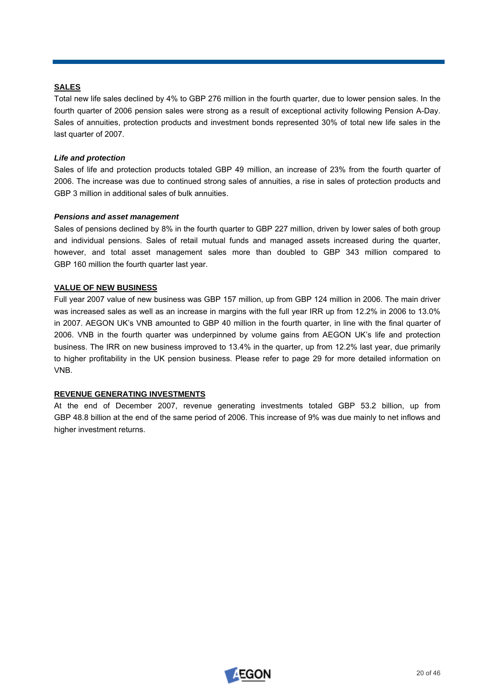# **SALES**

Total new life sales declined by 4% to GBP 276 million in the fourth quarter, due to lower pension sales. In the fourth quarter of 2006 pension sales were strong as a result of exceptional activity following Pension A-Day. Sales of annuities, protection products and investment bonds represented 30% of total new life sales in the last quarter of 2007.

# *Life and protection*

Sales of life and protection products totaled GBP 49 million, an increase of 23% from the fourth quarter of 2006. The increase was due to continued strong sales of annuities, a rise in sales of protection products and GBP 3 million in additional sales of bulk annuities.

# *Pensions and asset management*

Sales of pensions declined by 8% in the fourth quarter to GBP 227 million, driven by lower sales of both group and individual pensions. Sales of retail mutual funds and managed assets increased during the quarter, however, and total asset management sales more than doubled to GBP 343 million compared to GBP 160 million the fourth quarter last year.

# **VALUE OF NEW BUSINESS**

Full year 2007 value of new business was GBP 157 million, up from GBP 124 million in 2006. The main driver was increased sales as well as an increase in margins with the full year IRR up from 12.2% in 2006 to 13.0% in 2007. AEGON UK's VNB amounted to GBP 40 million in the fourth quarter, in line with the final quarter of 2006. VNB in the fourth quarter was underpinned by volume gains from AEGON UK's life and protection business. The IRR on new business improved to 13.4% in the quarter, up from 12.2% last year, due primarily to higher profitability in the UK pension business. Please refer to page 29 for more detailed information on VNB.

# **REVENUE GENERATING INVESTMENTS**

At the end of December 2007, revenue generating investments totaled GBP 53.2 billion, up from GBP 48.8 billion at the end of the same period of 2006. This increase of 9% was due mainly to net inflows and higher investment returns.

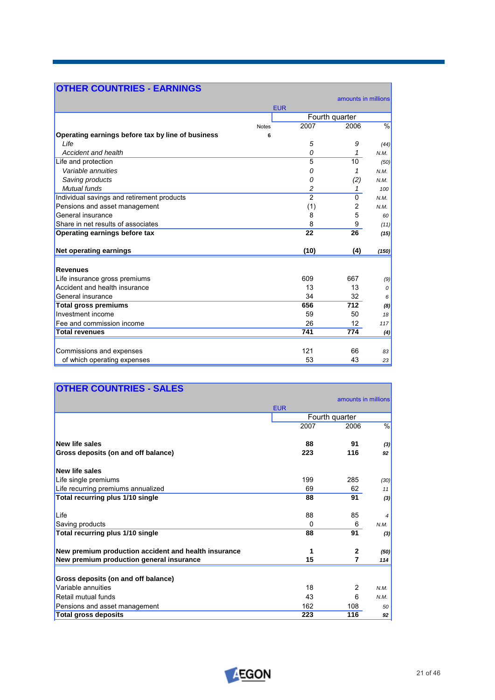| <b>OTHER COUNTRIES - EARNINGS</b>                 |              |                |                     |               |  |
|---------------------------------------------------|--------------|----------------|---------------------|---------------|--|
|                                                   |              |                | amounts in millions |               |  |
|                                                   | <b>EUR</b>   |                |                     |               |  |
|                                                   |              |                | Fourth quarter      |               |  |
|                                                   | <b>Notes</b> | 2007           | 2006                | $\frac{9}{6}$ |  |
| Operating earnings before tax by line of business | 6            |                |                     |               |  |
| Life                                              |              | 5              | 9                   | (44)          |  |
| Accident and health                               |              | 0              | 1                   | N.M.          |  |
| Life and protection                               |              | 5              | 10                  | (50)          |  |
| Variable annuities                                |              | 0              | 1                   | N.M.          |  |
| Saving products                                   |              | 0              | (2)                 | N.M.          |  |
| Mutual funds                                      |              | 2              | 1                   | 100           |  |
| Individual savings and retirement products        |              | $\overline{2}$ | $\Omega$            | N.M.          |  |
| Pensions and asset management                     |              | (1)            | 2                   | N.M.          |  |
| General insurance                                 |              | 8              | 5                   | 60            |  |
| Share in net results of associates                |              | 8              | 9                   | (11)          |  |
| Operating earnings before tax                     |              | 22             | 26                  | (15)          |  |
| <b>Net operating earnings</b>                     |              | (10)           | (4)                 | (150)         |  |
| <b>Revenues</b>                                   |              |                |                     |               |  |
| Life insurance gross premiums                     |              | 609            | 667                 | (9)           |  |
| Accident and health insurance                     |              | 13             | 13                  | 0             |  |
| General insurance                                 |              | 34             | 32                  | 6             |  |
| <b>Total gross premiums</b>                       |              | 656            | 712                 | (8)           |  |
| Investment income                                 |              | 59             | 50                  | 18            |  |
| Fee and commission income                         |              | 26             | 12                  | 117           |  |
| <b>Total revenues</b>                             |              | 741            | 774                 | (4)           |  |
|                                                   |              |                |                     |               |  |
| Commissions and expenses                          |              | 121            | 66                  | 83            |  |
| of which operating expenses                       |              | 53             | 43                  | 23            |  |

| <b>OTHER COUNTRIES - SALES</b>                       |            |                     |                |
|------------------------------------------------------|------------|---------------------|----------------|
|                                                      |            | amounts in millions |                |
|                                                      | <b>EUR</b> |                     |                |
|                                                      |            | Fourth quarter      |                |
|                                                      | 2007       | 2006                | $\%$           |
| <b>New life sales</b>                                | 88         | 91                  | (3)            |
| Gross deposits (on and off balance)                  | 223        | 116                 | 92             |
| New life sales                                       |            |                     |                |
| Life single premiums                                 | 199        | 285                 | (30)           |
| Life recurring premiums annualized                   | 69         | 62                  | 11             |
| Total recurring plus 1/10 single                     | 88         | 91                  | (3)            |
| Life                                                 | 88         | 85                  | $\overline{4}$ |
| Saving products                                      | 0          | 6                   | N.M.           |
| Total recurring plus 1/10 single                     | 88         | 91                  | (3)            |
| New premium production accident and health insurance | 1          | $\mathbf{2}$        | (50)           |
| New premium production general insurance             | 15         | 7                   | 114            |
| Gross deposits (on and off balance)                  |            |                     |                |
| Variable annuities                                   | 18         | 2                   | N.M.           |
| Retail mutual funds                                  | 43         | 6                   | N.M.           |
| Pensions and asset management                        | 162        | 108                 | 50             |
| <b>Total gross deposits</b>                          | 223        | 116                 | 92             |

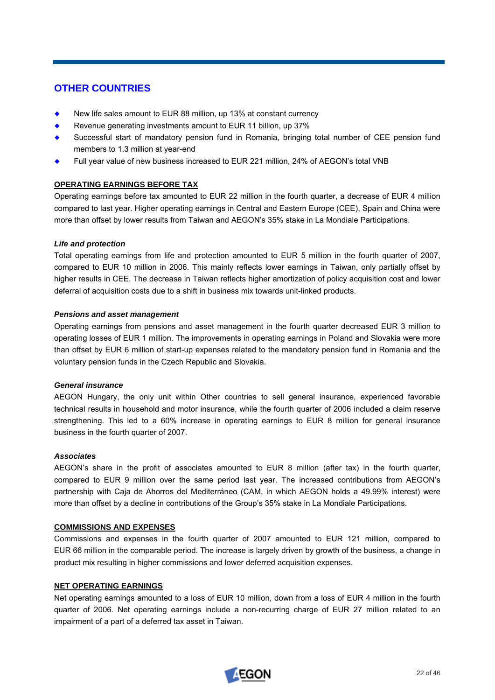# **OTHER COUNTRIES**

- New life sales amount to EUR 88 million, up 13% at constant currency
- Revenue generating investments amount to EUR 11 billion, up 37%
- Successful start of mandatory pension fund in Romania, bringing total number of CEE pension fund members to 1.3 million at year-end
- Full year value of new business increased to EUR 221 million, 24% of AEGON's total VNB

# **OPERATING EARNINGS BEFORE TAX**

Operating earnings before tax amounted to EUR 22 million in the fourth quarter, a decrease of EUR 4 million compared to last year. Higher operating earnings in Central and Eastern Europe (CEE), Spain and China were more than offset by lower results from Taiwan and AEGON's 35% stake in La Mondiale Participations.

# *Life and protection*

Total operating earnings from life and protection amounted to EUR 5 million in the fourth quarter of 2007, compared to EUR 10 million in 2006. This mainly reflects lower earnings in Taiwan, only partially offset by higher results in CEE. The decrease in Taiwan reflects higher amortization of policy acquisition cost and lower deferral of acquisition costs due to a shift in business mix towards unit-linked products.

# *Pensions and asset management*

Operating earnings from pensions and asset management in the fourth quarter decreased EUR 3 million to operating losses of EUR 1 million. The improvements in operating earnings in Poland and Slovakia were more than offset by EUR 6 million of start-up expenses related to the mandatory pension fund in Romania and the voluntary pension funds in the Czech Republic and Slovakia.

### *General insurance*

AEGON Hungary, the only unit within Other countries to sell general insurance, experienced favorable technical results in household and motor insurance, while the fourth quarter of 2006 included a claim reserve strengthening. This led to a 60% increase in operating earnings to EUR 8 million for general insurance business in the fourth quarter of 2007.

### *Associates*

AEGON's share in the profit of associates amounted to EUR 8 million (after tax) in the fourth quarter, compared to EUR 9 million over the same period last year. The increased contributions from AEGON's partnership with Caja de Ahorros del Mediterráneo (CAM, in which AEGON holds a 49.99% interest) were more than offset by a decline in contributions of the Group's 35% stake in La Mondiale Participations.

### **COMMISSIONS AND EXPENSES**

Commissions and expenses in the fourth quarter of 2007 amounted to EUR 121 million, compared to EUR 66 million in the comparable period. The increase is largely driven by growth of the business, a change in product mix resulting in higher commissions and lower deferred acquisition expenses.

### **NET OPERATING EARNINGS**

Net operating earnings amounted to a loss of EUR 10 million, down from a loss of EUR 4 million in the fourth quarter of 2006. Net operating earnings include a non-recurring charge of EUR 27 million related to an impairment of a part of a deferred tax asset in Taiwan.

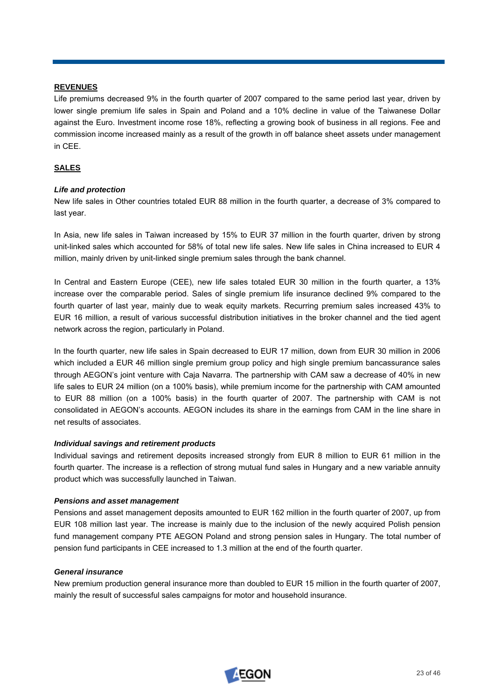## **REVENUES**

Life premiums decreased 9% in the fourth quarter of 2007 compared to the same period last year, driven by lower single premium life sales in Spain and Poland and a 10% decline in value of the Taiwanese Dollar against the Euro. Investment income rose 18%, reflecting a growing book of business in all regions. Fee and commission income increased mainly as a result of the growth in off balance sheet assets under management in CEE.

# **SALES**

# *Life and protection*

New life sales in Other countries totaled EUR 88 million in the fourth quarter, a decrease of 3% compared to last year.

In Asia, new life sales in Taiwan increased by 15% to EUR 37 million in the fourth quarter, driven by strong unit-linked sales which accounted for 58% of total new life sales. New life sales in China increased to EUR 4 million, mainly driven by unit-linked single premium sales through the bank channel.

In Central and Eastern Europe (CEE), new life sales totaled EUR 30 million in the fourth quarter, a 13% increase over the comparable period. Sales of single premium life insurance declined 9% compared to the fourth quarter of last year, mainly due to weak equity markets. Recurring premium sales increased 43% to EUR 16 million, a result of various successful distribution initiatives in the broker channel and the tied agent network across the region, particularly in Poland.

In the fourth quarter, new life sales in Spain decreased to EUR 17 million, down from EUR 30 million in 2006 which included a EUR 46 million single premium group policy and high single premium bancassurance sales through AEGON's joint venture with Caja Navarra. The partnership with CAM saw a decrease of 40% in new life sales to EUR 24 million (on a 100% basis), while premium income for the partnership with CAM amounted to EUR 88 million (on a 100% basis) in the fourth quarter of 2007. The partnership with CAM is not consolidated in AEGON's accounts. AEGON includes its share in the earnings from CAM in the line share in net results of associates.

### *Individual savings and retirement products*

Individual savings and retirement deposits increased strongly from EUR 8 million to EUR 61 million in the fourth quarter. The increase is a reflection of strong mutual fund sales in Hungary and a new variable annuity product which was successfully launched in Taiwan.

### *Pensions and asset management*

Pensions and asset management deposits amounted to EUR 162 million in the fourth quarter of 2007, up from EUR 108 million last year. The increase is mainly due to the inclusion of the newly acquired Polish pension fund management company PTE AEGON Poland and strong pension sales in Hungary. The total number of pension fund participants in CEE increased to 1.3 million at the end of the fourth quarter.

### *General insurance*

New premium production general insurance more than doubled to EUR 15 million in the fourth quarter of 2007, mainly the result of successful sales campaigns for motor and household insurance.

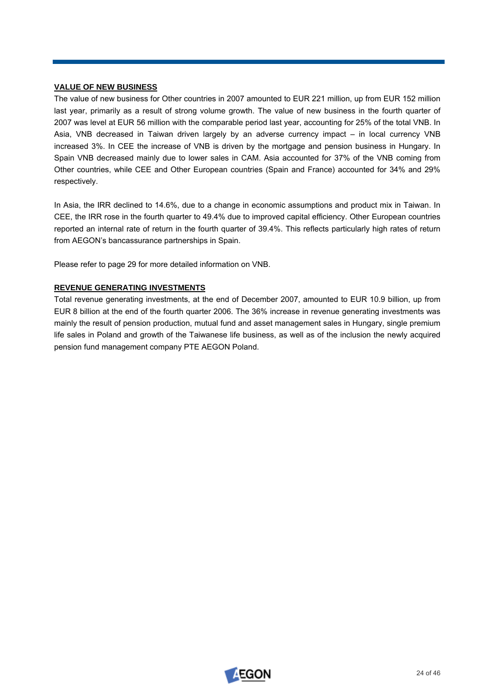# **VALUE OF NEW BUSINESS**

The value of new business for Other countries in 2007 amounted to EUR 221 million, up from EUR 152 million last year, primarily as a result of strong volume growth. The value of new business in the fourth quarter of 2007 was level at EUR 56 million with the comparable period last year, accounting for 25% of the total VNB. In Asia, VNB decreased in Taiwan driven largely by an adverse currency impact – in local currency VNB increased 3%. In CEE the increase of VNB is driven by the mortgage and pension business in Hungary. In Spain VNB decreased mainly due to lower sales in CAM. Asia accounted for 37% of the VNB coming from Other countries, while CEE and Other European countries (Spain and France) accounted for 34% and 29% respectively.

In Asia, the IRR declined to 14.6%, due to a change in economic assumptions and product mix in Taiwan. In CEE, the IRR rose in the fourth quarter to 49.4% due to improved capital efficiency. Other European countries reported an internal rate of return in the fourth quarter of 39.4%. This reflects particularly high rates of return from AEGON's bancassurance partnerships in Spain.

Please refer to page 29 for more detailed information on VNB.

# **REVENUE GENERATING INVESTMENTS**

Total revenue generating investments, at the end of December 2007, amounted to EUR 10.9 billion, up from EUR 8 billion at the end of the fourth quarter 2006. The 36% increase in revenue generating investments was mainly the result of pension production, mutual fund and asset management sales in Hungary, single premium life sales in Poland and growth of the Taiwanese life business, as well as of the inclusion the newly acquired pension fund management company PTE AEGON Poland.

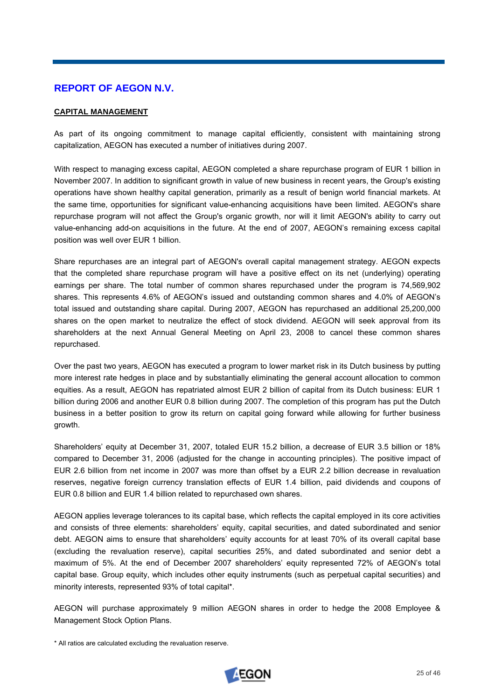# **REPORT OF AEGON N.V.**

# **CAPITAL MANAGEMENT**

As part of its ongoing commitment to manage capital efficiently, consistent with maintaining strong capitalization, AEGON has executed a number of initiatives during 2007.

With respect to managing excess capital, AEGON completed a share repurchase program of EUR 1 billion in November 2007. In addition to significant growth in value of new business in recent years, the Group's existing operations have shown healthy capital generation, primarily as a result of benign world financial markets. At the same time, opportunities for significant value-enhancing acquisitions have been limited. AEGON's share repurchase program will not affect the Group's organic growth, nor will it limit AEGON's ability to carry out value-enhancing add-on acquisitions in the future. At the end of 2007, AEGON's remaining excess capital position was well over EUR 1 billion.

Share repurchases are an integral part of AEGON's overall capital management strategy. AEGON expects that the completed share repurchase program will have a positive effect on its net (underlying) operating earnings per share. The total number of common shares repurchased under the program is 74,569,902 shares. This represents 4.6% of AEGON's issued and outstanding common shares and 4.0% of AEGON's total issued and outstanding share capital. During 2007, AEGON has repurchased an additional 25,200,000 shares on the open market to neutralize the effect of stock dividend. AEGON will seek approval from its shareholders at the next Annual General Meeting on April 23, 2008 to cancel these common shares repurchased.

Over the past two years, AEGON has executed a program to lower market risk in its Dutch business by putting more interest rate hedges in place and by substantially eliminating the general account allocation to common equities. As a result, AEGON has repatriated almost EUR 2 billion of capital from its Dutch business: EUR 1 billion during 2006 and another EUR 0.8 billion during 2007. The completion of this program has put the Dutch business in a better position to grow its return on capital going forward while allowing for further business growth.

Shareholders' equity at December 31, 2007, totaled EUR 15.2 billion, a decrease of EUR 3.5 billion or 18% compared to December 31, 2006 (adjusted for the change in accounting principles). The positive impact of EUR 2.6 billion from net income in 2007 was more than offset by a EUR 2.2 billion decrease in revaluation reserves, negative foreign currency translation effects of EUR 1.4 billion, paid dividends and coupons of EUR 0.8 billion and EUR 1.4 billion related to repurchased own shares.

AEGON applies leverage tolerances to its capital base, which reflects the capital employed in its core activities and consists of three elements: shareholders' equity, capital securities, and dated subordinated and senior debt. AEGON aims to ensure that shareholders' equity accounts for at least 70% of its overall capital base (excluding the revaluation reserve), capital securities 25%, and dated subordinated and senior debt a maximum of 5%. At the end of December 2007 shareholders' equity represented 72% of AEGON's total capital base. Group equity, which includes other equity instruments (such as perpetual capital securities) and minority interests, represented 93% of total capital\*.

AEGON will purchase approximately 9 million AEGON shares in order to hedge the 2008 Employee & Management Stock Option Plans.

\* All ratios are calculated excluding the revaluation reserve.

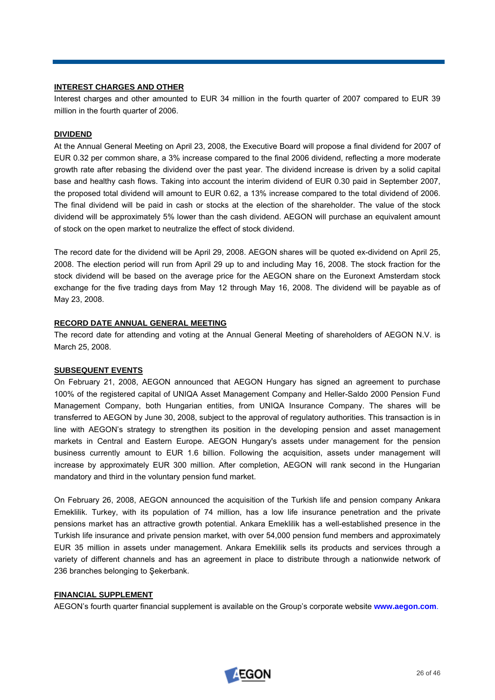### **INTEREST CHARGES AND OTHER**

Interest charges and other amounted to EUR 34 million in the fourth quarter of 2007 compared to EUR 39 million in the fourth quarter of 2006.

# **DIVIDEND**

At the Annual General Meeting on April 23, 2008, the Executive Board will propose a final dividend for 2007 of EUR 0.32 per common share, a 3% increase compared to the final 2006 dividend, reflecting a more moderate growth rate after rebasing the dividend over the past year. The dividend increase is driven by a solid capital base and healthy cash flows. Taking into account the interim dividend of EUR 0.30 paid in September 2007, the proposed total dividend will amount to EUR 0.62, a 13% increase compared to the total dividend of 2006. The final dividend will be paid in cash or stocks at the election of the shareholder. The value of the stock dividend will be approximately 5% lower than the cash dividend. AEGON will purchase an equivalent amount of stock on the open market to neutralize the effect of stock dividend.

The record date for the dividend will be April 29, 2008. AEGON shares will be quoted ex-dividend on April 25, 2008. The election period will run from April 29 up to and including May 16, 2008. The stock fraction for the stock dividend will be based on the average price for the AEGON share on the Euronext Amsterdam stock exchange for the five trading days from May 12 through May 16, 2008. The dividend will be payable as of May 23, 2008.

# **RECORD DATE ANNUAL GENERAL MEETING**

The record date for attending and voting at the Annual General Meeting of shareholders of AEGON N.V. is March 25, 2008.

### **SUBSEQUENT EVENTS**

On February 21, 2008, AEGON announced that AEGON Hungary has signed an agreement to purchase 100% of the registered capital of UNIQA Asset Management Company and Heller-Saldo 2000 Pension Fund Management Company, both Hungarian entities, from UNIQA Insurance Company. The shares will be transferred to AEGON by June 30, 2008, subject to the approval of regulatory authorities. This transaction is in line with AEGON's strategy to strengthen its position in the developing pension and asset management markets in Central and Eastern Europe. AEGON Hungary's assets under management for the pension business currently amount to EUR 1.6 billion. Following the acquisition, assets under management will increase by approximately EUR 300 million. After completion, AEGON will rank second in the Hungarian mandatory and third in the voluntary pension fund market.

On February 26, 2008, AEGON announced the acquisition of the Turkish life and pension company Ankara Emeklilik. Turkey, with its population of 74 million, has a low life insurance penetration and the private pensions market has an attractive growth potential. Ankara Emeklilik has a well-established presence in the Turkish life insurance and private pension market, with over 54,000 pension fund members and approximately EUR 35 million in assets under management. Ankara Emeklilik sells its products and services through a variety of different channels and has an agreement in place to distribute through a nationwide network of 236 branches belonging to Şekerbank.

### **FINANCIAL SUPPLEMENT**

AEGON's fourth quarter financial supplement is available on the Group's corporate website **[www.aegon.com](http://www.aegon.com/)**.

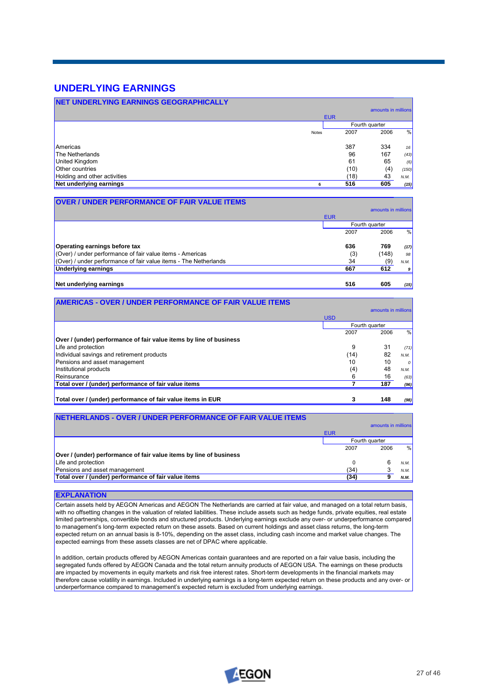# **UNDERLYING EARNINGS**

| <b>NET UNDERLYING EARNINGS GEOGRAPHICALLY</b> |       |            |                     |       |  |
|-----------------------------------------------|-------|------------|---------------------|-------|--|
|                                               |       |            | amounts in millions |       |  |
|                                               |       | <b>EUR</b> |                     |       |  |
|                                               |       |            | Fourth quarter      |       |  |
|                                               | Notes | 2007       | 2006                | %     |  |
|                                               |       |            |                     |       |  |
| Americas                                      |       | 387        | 334                 | 16    |  |
| The Netherlands                               |       | 96         | 167                 | (43)  |  |
| United Kingdom                                |       | 61         | 65                  | (6)   |  |
| <b>Other countries</b>                        |       | (10)       | (4)                 | (150) |  |
| Holding and other activities                  |       | (18)       | 43                  | N.M.  |  |
| Net underlying earnings                       | 6     | 516        | 605                 | (15)  |  |

| <b>OVER / UNDER PERFORMANCE OF FAIR VALUE ITEMS</b>                          |            |                     |               |
|------------------------------------------------------------------------------|------------|---------------------|---------------|
|                                                                              |            | amounts in millions |               |
|                                                                              | <b>EUR</b> |                     |               |
|                                                                              |            | Fourth quarter      |               |
|                                                                              | 2007       | 2006                | $\frac{0}{0}$ |
| Operating earnings before tax                                                | 636        | 769                 | (17)          |
| $\sqrt{(Q}$ (Over) / under performance of fair value items - Americas        | (3)        | (148)               | 98            |
| $\sqrt{(Q}$ (Over) / under performance of fair value items - The Netherlands | 34         | (9)                 | N.M.          |
| Underlying earnings                                                          | 667        | 612                 | 9             |
| Net underlying earnings                                                      | 516        | 605                 | (15)          |

| <b>AMERICAS - OVER / UNDER PERFORMANCE OF FAIR VALUE ITEMS</b>     |            |                     |          |
|--------------------------------------------------------------------|------------|---------------------|----------|
|                                                                    |            | amounts in millions |          |
|                                                                    | <b>USD</b> |                     |          |
|                                                                    |            | Fourth quarter      |          |
|                                                                    | 2007       | 2006                | %        |
| Over / (under) performance of fair value items by line of business |            |                     |          |
| Life and protection                                                | 9          | 31                  | (71)     |
| Individual savings and retirement products                         | (14)       | 82                  | N.M.     |
| Pensions and asset management                                      | 10         | 10                  | $\Omega$ |
| Institutional products                                             | (4)        | 48                  | N.M.     |
| Reinsurance                                                        | 6          | 16                  | (63)     |
| Total over / (under) performance of fair value items               |            | 187                 | (96)     |
| Total over / (under) performance of fair value items in EUR        | 3          | 148                 | (98)     |

| <b>INETHERLANDS - OVER / UNDER PERFORMANCE OF FAIR VALUE ITEMS</b> |                |                     |      |
|--------------------------------------------------------------------|----------------|---------------------|------|
|                                                                    |                | amounts in millions |      |
|                                                                    | <b>EUR</b>     |                     |      |
|                                                                    | Fourth quarter |                     |      |
|                                                                    | 2007           | 2006                | %    |
| Over / (under) performance of fair value items by line of business |                |                     |      |
| Life and protection                                                | 0              | 6                   | N.M. |
| Pensions and asset management                                      | (34)           |                     | N.M. |
| Total over / (under) performance of fair value items               | (34)           |                     | N.M. |

### **EXPLANATION**

Certain assets held by AEGON Americas and AEGON The Netherlands are carried at fair value, and managed on a total return basis, with no offsetting changes in the valuation of related liabilities. These include assets such as hedge funds, private equities, real estate limited partnerships, convertible bonds and structured products. Underlying earnings exclude any over- or underperformance compared to management's long-term expected return on these assets. Based on current holdings and asset class returns, the long-term expected return on an annual basis is 8-10%, depending on the asset class, including cash income and market value changes. The expected earnings from these assets classes are net of DPAC where applicable.

In addition, certain products offered by AEGON Americas contain guarantees and are reported on a fair value basis, including the segregated funds offered by AEGON Canada and the total return annuity products of AEGON USA. The earnings on these products are impacted by movements in equity markets and risk free interest rates. Short-term developments in the financial markets may therefore cause volatility in earnings. Included in underlying earnings is a long-term expected return on these products and any over- or underperformance compared to management's expected return is excluded from underlying earnings.

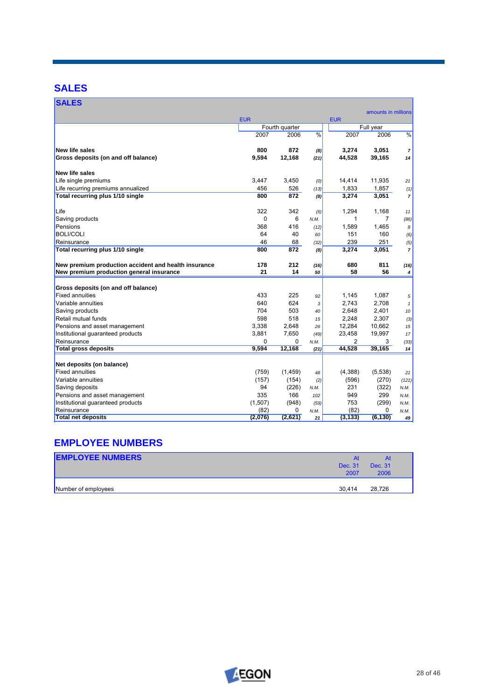# **SALES**

| <b>SALES</b>                                         |            |                |               |                         |                     |                |
|------------------------------------------------------|------------|----------------|---------------|-------------------------|---------------------|----------------|
|                                                      |            |                |               |                         | amounts in millions |                |
|                                                      | <b>EUR</b> | Fourth quarter |               | <b>EUR</b><br>Full year |                     |                |
|                                                      | 2007       | 2006           | $\frac{9}{6}$ | 2007                    | 2006                | $\frac{9}{6}$  |
|                                                      |            |                |               |                         |                     |                |
| <b>New life sales</b>                                | 800        | 872            | (8)           | 3,274                   | 3,051               | $\overline{7}$ |
| Gross deposits (on and off balance)                  | 9,594      | 12,168         | (21)          | 44,528                  | 39,165              | 14             |
| <b>New life sales</b>                                |            |                |               |                         |                     |                |
| Life single premiums                                 | 3.447      | 3.450          | (0)           | 14,414                  | 11,935              | 21             |
| Life recurring premiums annualized                   | 456        | 526            | (13)          | 1,833                   | 1,857               | (1)            |
| Total recurring plus 1/10 single                     | 800        | 872            | (8)           | 3,274                   | 3,051               | $\overline{7}$ |
| Life                                                 | 322        | 342            | (6)           | 1,294                   | 1,168               | 11             |
| Saving products                                      | 0          | 6              | N.M.          | 1                       | $\overline{7}$      | (86)           |
| Pensions                                             | 368        | 416            | (12)          | 1.589                   | 1,465               | 8              |
| <b>BOLI/COLI</b>                                     | 64         | 40             | 60            | 151                     | 160                 | (6)            |
| Reinsurance                                          | 46         | 68             | (32)          | 239                     | 251                 | (5)            |
| Total recurring plus 1/10 single                     | 800        | 872            | (8)           | 3,274                   | 3,051               | $\overline{7}$ |
| New premium production accident and health insurance | 178        | 212            |               | 680                     | 811                 |                |
| New premium production general insurance             | 21         | 14             | (16)<br>50    | 58                      | 56                  | (16)<br>4      |
|                                                      |            |                |               |                         |                     |                |
| Gross deposits (on and off balance)                  |            |                |               |                         |                     |                |
| <b>Fixed annuities</b>                               | 433        | 225            | 92            | 1,145                   | 1,087               | 5              |
| Variable annuities                                   | 640        | 624            | 3             | 2.743                   | 2,708               | $\mathbf{1}$   |
| Saving products                                      | 704        | 503            | 40            | 2,648                   | 2,401               | 10             |
| Retail mutual funds                                  | 598        | 518            | 15            | 2,248                   | 2,307               | (3)            |
| Pensions and asset management                        | 3,338      | 2,648          | 26            | 12,284                  | 10,662              | 15             |
| Institutional quaranteed products                    | 3.881      | 7.650          | (49)          | 23,458                  | 19,997              | 17             |
| Reinsurance                                          | 0          | 0              | N.M.          | 2                       | 3                   | (33)           |
| <b>Total gross deposits</b>                          | 9.594      | 12,168         | (21)          | 44,528                  | 39,165              | 14             |
| Net deposits (on balance)                            |            |                |               |                         |                     |                |
| <b>Fixed annuities</b>                               | (759)      | (1, 459)       | 48            | (4,388)                 | (5,538)             | 21             |
| Variable annuities                                   | (157)      | (154)          | (2)           | (596)                   | (270)               | (121)          |
| Saving deposits                                      | 94         | (226)          | N.M.          | 231                     | (322)               | N.M.           |
| Pensions and asset management                        | 335        | 166            | 102           | 949                     | 299                 | N.M.           |
| Institutional quaranteed products                    | (1,507)    | (948)          | (59)          | 753                     | (299)               | N.M.           |
| Reinsurance                                          | (82)       | 0              | N.M.          | (82)                    | 0                   | N.M.           |
| <b>Total net deposits</b>                            | (2,076)    | (2,621)        | 21            | (3, 133)                | (6, 130)            | 49             |

# **EMPLOYEE NUMBERS**

| <b>EMPLOYEE NUMBERS</b> | At<br>Dec. 31<br>2007 | At<br>Dec. 31<br>2006 |
|-------------------------|-----------------------|-----------------------|
| Number of employees     | 30.414                | 28.726                |

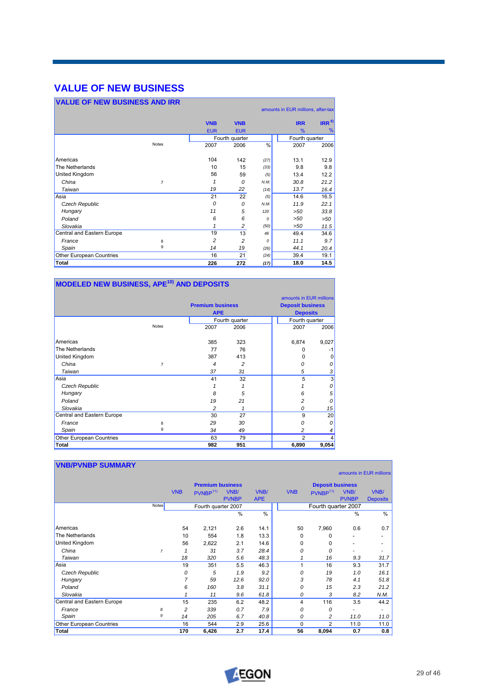# **VALUE OF NEW BUSINESS**

| <b>VALUE OF NEW BUSINESS AND IRR</b> |                |            |                |               |                                    |                  |
|--------------------------------------|----------------|------------|----------------|---------------|------------------------------------|------------------|
|                                      |                |            |                |               | amounts in EUR millions, after-tax |                  |
|                                      |                | <b>VNB</b> | <b>VNB</b>     |               | <b>IRR</b>                         | IRR <sup>5</sup> |
|                                      |                | <b>EUR</b> | <b>EUR</b>     |               | $\%$                               | %                |
|                                      |                |            | Fourth quarter |               | Fourth quarter                     |                  |
|                                      | <b>Notes</b>   | 2007       | 2006           | $\frac{0}{0}$ | 2007                               | 2006             |
|                                      |                |            |                |               |                                    |                  |
| Americas                             |                | 104        | 142            | (27)          | 13.1                               | 12.9             |
| The Netherlands                      |                | 10         | 15             | (33)          | 9.8                                | 9.8              |
| United Kingdom                       |                | 56         | 59             | (5)           | 13.4                               | 12.2             |
| China                                | $\overline{7}$ | 1          | 0              | N.M.          | 30.8                               | 21.2             |
| Taiwan                               |                | 19         | 22             | (14)          | 13.7                               | 16.4             |
| Asia                                 |                | 21         | 22             | (5)           | 14.6                               | 16.5             |
| Czech Republic                       |                | 0          | 0              | N.M.          | 11.9                               | 22.1             |
| Hungary                              |                | 11         | 5              | 120           | >50                                | 33.8             |
| Poland                               |                | 6          | 6              | $\Omega$      | >50                                | $>50$            |
| Slovakia                             |                | 1          | 2              | (50)          | >50                                | 11.5             |
| Central and Eastern Europe           |                | 19         | 13             | 46            | 49.4                               | 34.6             |
| France                               | 8              | 2          | 2              | $\Omega$      | 11.1                               | 9.7              |
| Spain                                | 9              | 14         | 19             | (26)          | 44.1                               | 20.4             |
| Other European Countries             |                | 16         | 21             | (24)          | 39.4                               | 19.1             |
| Total                                |                | 226        | 272            | (17)          | 18.0                               | 14.5             |

| MODELED NEW BUSINESS, APE <sup>10)</sup> AND DEPOSITS |                |                         |                |  |                                                    |       |  |  |
|-------------------------------------------------------|----------------|-------------------------|----------------|--|----------------------------------------------------|-------|--|--|
|                                                       |                | <b>Premium business</b> |                |  | amounts in EUR millions<br><b>Deposit business</b> |       |  |  |
|                                                       |                | <b>APE</b>              |                |  | <b>Deposits</b>                                    |       |  |  |
|                                                       |                |                         | Fourth quarter |  | Fourth quarter                                     |       |  |  |
|                                                       | <b>Notes</b>   | 2007                    | 2006           |  | 2007                                               | 2006  |  |  |
| Americas                                              |                | 385                     | 323            |  | 6,874                                              | 9,027 |  |  |
| The Netherlands                                       |                | 77                      | 76             |  | O                                                  | -1    |  |  |
| United Kingdom                                        |                | 387                     | 413            |  | 0                                                  | 0     |  |  |
| China                                                 | $\overline{7}$ | 4                       | $\overline{2}$ |  | 0                                                  | 0     |  |  |
| Taiwan                                                |                | 37                      | 31             |  | 5                                                  | 3     |  |  |
| Asia                                                  |                | 41                      | 32             |  | 5                                                  | 3     |  |  |
| Czech Republic                                        |                |                         | 1              |  |                                                    | 0     |  |  |
| Hungary                                               |                | 8                       | 5              |  | 6                                                  | 5     |  |  |
| Poland                                                |                | 19                      | 21             |  | 2                                                  | 0     |  |  |
| Slovakia                                              |                | 2                       | 1              |  | 0                                                  | 15    |  |  |
| Central and Eastern Europe                            |                | 30                      | 27             |  | 9                                                  | 20    |  |  |
| France                                                | 8              | 29                      | 30             |  | 0                                                  | 0     |  |  |
| Spain                                                 | 9              | 34                      | 49             |  | 2                                                  |       |  |  |
| Other European Countries                              |                | 63                      | 79             |  | $\overline{2}$                                     |       |  |  |
| <b>Total</b>                                          |                | 982                     | 951            |  | 6,890                                              | 9,054 |  |  |

| <b>VNB/PVNBP SUMMARY</b>   |                |              |                         |                      |                    |            |                         |                      |                          |
|----------------------------|----------------|--------------|-------------------------|----------------------|--------------------|------------|-------------------------|----------------------|--------------------------|
|                            |                |              |                         |                      |                    |            |                         |                      | amounts in EUR millions  |
|                            |                |              | <b>Premium business</b> |                      |                    |            | <b>Deposit business</b> |                      |                          |
|                            |                | <b>VNB</b>   | PVNBP <sup>11)</sup>    | VNB/<br><b>PVNBP</b> | VNB/<br><b>APE</b> | <b>VNB</b> | PUNBP <sup>11</sup>     | VNB/<br><b>PVNBP</b> | VNB/<br><b>Deposits</b>  |
|                            | <b>Notes</b>   |              | Fourth quarter 2007     |                      |                    |            | Fourth quarter 2007     |                      |                          |
|                            |                |              |                         | $\frac{0}{0}$        | $\frac{0}{0}$      |            |                         | $\frac{0}{0}$        | $\frac{0}{0}$            |
| Americas                   |                | 54           | 2,121                   | 2.6                  | 14.1               | 50         | 7,960                   | 0.6                  | 0.7                      |
| The Netherlands            |                | 10           | 554                     | 1.8                  | 13.3               | 0          | $\Omega$                |                      | -                        |
| United Kingdom             |                | 56           | 2,622                   | 2.1                  | 14.6               | 0          | 0                       |                      | $\overline{\phantom{0}}$ |
| China                      | $\overline{7}$ | $\mathbf{1}$ | 31                      | 3.7                  | 28.4               | 0          | $\Omega$                |                      | $\overline{\phantom{a}}$ |
| Taiwan                     |                | 18           | 320                     | 5.6                  | 48.3               | 1          | 16                      | 9.3                  | 31.7                     |
| Asia                       |                | 19           | 351                     | 5.5                  | 46.3               | 1          | 16                      | 9.3                  | 31.7                     |
| Czech Republic             |                | 0            | 5                       | 1.9                  | 9.2                | 0          | 19                      | 1.0                  | 16.1                     |
| Hungary                    |                | 7            | 59                      | 12.6                 | 92.0               | 3          | 78                      | 4.1                  | 51.8                     |
| Poland                     |                | 6            | 160                     | 3.8                  | 31.1               | 0          | 15                      | 2.3                  | 21.2                     |
| Slovakia                   |                | 1            | 11                      | 9.6                  | 61.8               | 0          | 3                       | 8.2                  | N.M.                     |
| Central and Eastern Europe |                | 15           | 235                     | 6.2                  | 48.2               | 4          | 116                     | 3.5                  | 44.2                     |
| France                     | 8              | 2            | 339                     | 0.7                  | 7.9                | 0          | 0                       |                      | ۰                        |
| Spain                      | 9              | 14           | 205                     | 6.7                  | 40.8               | 0          | 2                       | 11.0                 | 11.0                     |
| Other European Countries   |                | 16           | 544                     | 2.9                  | 25.6               | 0          | $\overline{2}$          | 11.0                 | 11.0                     |
| Total                      |                | 170          | 6,426                   | 2.7                  | 17.4               | 56         | 8,094                   | 0.7                  | 0.8                      |

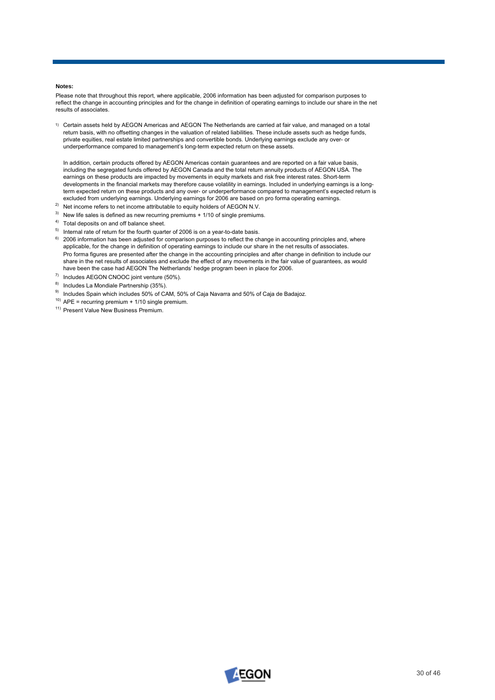### **Notes:**

Please note that throughout this report, where applicable, 2006 information has been adjusted for comparison purposes to reflect the change in accounting principles and for the change in definition of operating earnings to include our share in the net results of associates.

1) Certain assets held by AEGON Americas and AEGON The Netherlands are carried at fair value, and managed on a total return basis, with no offsetting changes in the valuation of related liabilities. These include assets such as hedge funds, private equities, real estate limited partnerships and convertible bonds. Underlying earnings exclude any over- or underperformance compared to management's long-term expected return on these assets.

In addition, certain products offered by AEGON Americas contain guarantees and are reported on a fair value basis, including the segregated funds offered by AEGON Canada and the total return annuity products of AEGON USA. The earnings on these products are impacted by movements in equity markets and risk free interest rates. Short-term developments in the financial markets may therefore cause volatility in earnings. Included in underlying earnings is a longterm expected return on these products and any over- or underperformance compared to management's expected return is excluded from underlying earnings. Underlying earnings for 2006 are based on pro forma operating earnings.

- <sup>2)</sup> Net income refers to net income attributable to equity holders of AEGON N.V.
- $3)$  New life sales is defined as new recurring premiums + 1/10 of single premiums.
- 4) Total deposits on and off balance sheet.
- $5)$  Internal rate of return for the fourth quarter of 2006 is on a year-to-date basis.
- <sup>6)</sup> 2006 information has been adjusted for comparison purposes to reflect the change in accounting principles and, where applicable, for the change in definition of operating earnings to include our share in the net results of associates. Pro forma figures are presented after the change in the accounting principles and after change in definition to include our share in the net results of associates and exclude the effect of any movements in the fair value of guarantees, as would have been the case had AEGON The Netherlands' hedge program been in place for 2006.
- $7)$  Includes AEGON CNOOC joint venture (50%).
- 8) Includes La Mondiale Partnership (35%).
- $9)$  Includes Spain which includes 50% of CAM, 50% of Caja Navarra and 50% of Caja de Badajoz.
- $10)$  APE = recurring premium + 1/10 single premium.
- <sup>11)</sup> Present Value New Business Premium.

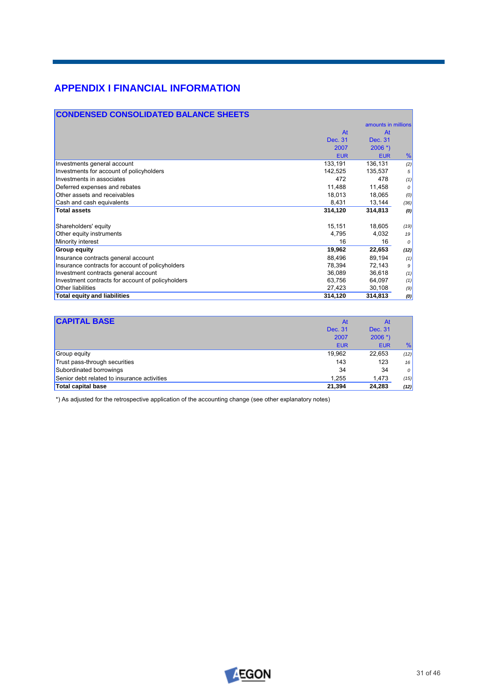# **APPENDIX I FINANCIAL INFORMATION**

| <b>CONDENSED CONSOLIDATED BALANCE SHEETS</b>      |            |                     |      |
|---------------------------------------------------|------------|---------------------|------|
|                                                   |            | amounts in millions |      |
|                                                   | At         | At                  |      |
|                                                   | Dec. 31    | Dec. 31             |      |
|                                                   | 2007       | $2006$ *)           |      |
|                                                   | <b>EUR</b> | <b>EUR</b>          | %    |
| Investments general account                       | 133,191    | 136,131             | (2)  |
| Investments for account of policyholders          | 142,525    | 135,537             | 5    |
| Investments in associates                         | 472        | 478                 | (1)  |
| Deferred expenses and rebates                     | 11,488     | 11,458              | 0    |
| Other assets and receivables                      | 18,013     | 18,065              | (0)  |
| Cash and cash equivalents                         | 8,431      | 13,144              | (36) |
| <b>Total assets</b>                               | 314,120    | 314,813             | (0)  |
| Shareholders' equity                              | 15,151     | 18,605              | (19) |
| Other equity instruments                          | 4,795      | 4,032               | 19   |
| Minority interest                                 | 16         | 16                  | 0    |
| <b>Group equity</b>                               | 19,962     | 22,653              | (12) |
| Insurance contracts general account               | 88,496     | 89,194              | (1)  |
| Insurance contracts for account of policyholders  | 78,394     | 72,143              | 9    |
| Investment contracts general account              | 36,089     | 36,618              | (1)  |
| Investment contracts for account of policyholders | 63,756     | 64,097              | (1)  |
| Other liabilities                                 | 27,423     | 30,108              | (9)  |
| <b>Total equity and liabilities</b>               | 314,120    | 314,813             | (0)  |

| <b>CAPITAL BASE</b>                         | At         | At         |          |
|---------------------------------------------|------------|------------|----------|
|                                             | Dec. 31    | Dec. 31    |          |
|                                             | 2007       | $2006$ *)  |          |
|                                             | <b>EUR</b> | <b>EUR</b> | %        |
| Group equity                                | 19,962     | 22,653     | (12)     |
| Trust pass-through securities               | 143        | 123        | 16       |
| Subordinated borrowings                     | 34         | 34         | $\theta$ |
| Senior debt related to insurance activities | 1,255      | 1,473      | (15)     |
| Total capital base                          | 21.394     | 24.283     | (12)     |

\*) As adjusted for the retrospective application of the accounting change (see other explanatory notes)

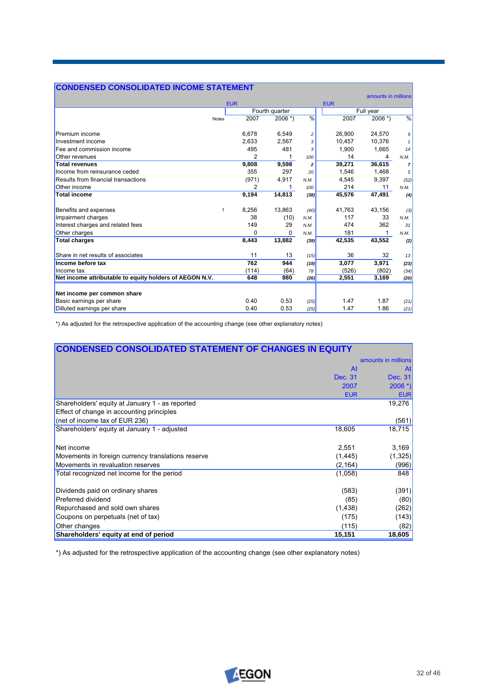# **CONDENSED CONSOLIDATED INCOME STATEMENT**

|                                                         |                |                |                |            | amounts in millions |                |
|---------------------------------------------------------|----------------|----------------|----------------|------------|---------------------|----------------|
|                                                         | <b>EUR</b>     |                |                | <b>EUR</b> |                     |                |
|                                                         |                | Fourth quarter |                |            | Full year           |                |
| <b>Notes</b>                                            | 2007           | $2006$ *)      | %              | 2007       | $2006$ *)           | %              |
| Premium income                                          | 6,678          | 6,549          | 2              | 26,900     | 24,570              | 9              |
| Investment income                                       | 2.633          | 2,567          |                | 10.457     | 10.376              | $\mathbf{1}$   |
| Fee and commission income                               | 495            | 481            |                | 1,900      | 1.665               | 14             |
| Other revenues                                          | $\overline{2}$ | 1              | 100            | 14         | 4                   | N.M.           |
| <b>Total revenues</b>                                   | 9,808          | 9,598          | $\overline{2}$ | 39,271     | 36,615              | $\overline{7}$ |
| Income from reinsurance ceded                           | 355            | 297            | 20             | 1,546      | 1.468               | 5              |
| Results from financial transactions                     | (971)          | 4,917          | N.M.           | 4.545      | 9.397               | (52)           |
| Other income                                            | $\overline{2}$ | 1              | 100            | 214        | 11                  | N.M.           |
| <b>Total income</b>                                     | 9,194          | 14,813         | (38)           | 45,576     | 47,491              | (4)            |
| Benefits and expenses<br>$\mathbf{1}$                   | 8,256          | 13,863         | (40)           | 41,763     | 43,156              | (3)            |
| Impairment charges                                      | 38             | (10)           | N.M.           | 117        | 33                  | N.M.           |
| Interest charges and related fees                       | 149            | 29             | N.M.           | 474        | 362                 | 31             |
| Other charges                                           | $\Omega$       | $\Omega$       | N.M.           | 181        |                     | N.M.           |
| <b>Total charges</b>                                    | 8,443          | 13,882         | (39)           | 42,535     | 43,552              | (2)            |
| Share in net results of associates                      | 11             | 13             | (15)           | 36         | 32                  | 13             |
| Income before tax                                       | 762            | 944            | (19)           | 3,077      | 3,971               | (23)           |
| Income tax                                              | (114)          | (64)           | 78             | (526)      | (802)               | (34)           |
| Net income attributable to equity holders of AEGON N.V. | 648            | 880            | (26)           | 2,551      | 3,169               | (20)           |
| Net income per common share                             |                |                |                |            |                     |                |
| Basic earnings per share                                | 0.40           | 0.53           | (25)           | 1.47       | 1.87                | (21)           |
| Dilluted earnings per share                             | 0.40           | 0.53           | (25)           | 1.47       | 1.86                | (21)           |

\*) As adjusted for the retrospective application of the accounting change (see other explanatory notes)

| <b>CONDENSED CONSOLIDATED STATEMENT OF CHANGES IN EQUITY</b> |            |                       |
|--------------------------------------------------------------|------------|-----------------------|
|                                                              |            | amounts in millions   |
|                                                              | At         | At                    |
|                                                              | Dec. 31    | Dec. 31               |
|                                                              | 2007       | $2006$ <sup>*</sup> ) |
|                                                              | <b>EUR</b> | <b>EUR</b>            |
| Shareholders' equity at January 1 - as reported              |            | 19,276                |
| Effect of change in accounting principles                    |            |                       |
| (net of income tax of EUR 236)                               |            | (561)                 |
| Shareholders' equity at January 1 - adjusted                 | 18,605     | 18,715                |
|                                                              |            |                       |
| Net income                                                   | 2,551      | 3,169                 |
| Movements in foreign currency translations reserve           | (1, 445)   | (1, 325)              |
| Movements in revaluation reserves                            | (2, 164)   | (996)                 |
| Total recognized net income for the period                   | (1,058)    | 848                   |
|                                                              |            |                       |
| Dividends paid on ordinary shares                            | (583)      | (391)                 |
| Preferred dividend                                           | (85)       | (80)                  |
| Repurchased and sold own shares                              | (1,438)    | (262)                 |
| Coupons on perpetuals (net of tax)                           | (175)      | (143)                 |
| Other changes                                                | (115)      | (82)                  |
| Shareholders' equity at end of period                        | 15,151     | 18,605                |

\*) As adjusted for the retrospective application of the accounting change (see other explanatory notes)

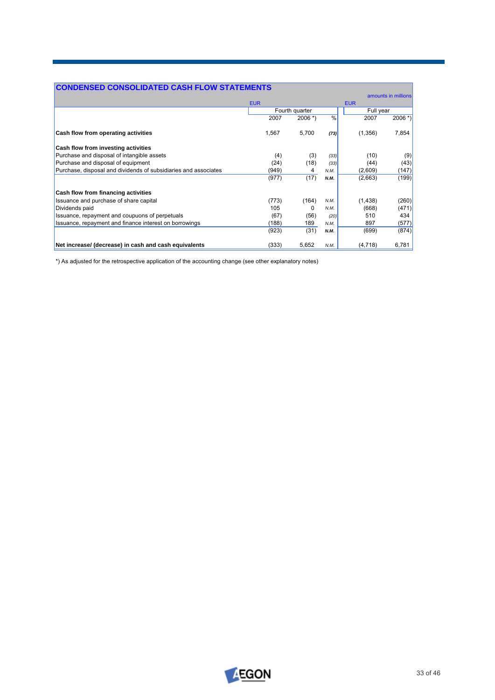| <b>CONDENSED CONSOLIDATED CASH FLOW STATEMENTS</b>              |            |                |               |            |                     |
|-----------------------------------------------------------------|------------|----------------|---------------|------------|---------------------|
|                                                                 |            |                |               |            | amounts in millions |
|                                                                 | <b>EUR</b> |                |               | <b>EUR</b> |                     |
|                                                                 |            | Fourth quarter |               | Full year  |                     |
|                                                                 | 2007       | $2006$ *)      | $\frac{1}{2}$ | 2007       | $2006$ *)           |
| Cash flow from operating activities                             | 1,567      | 5,700          | (73)          | (1,356)    | 7,854               |
| Cash flow from investing activities                             |            |                |               |            |                     |
| Purchase and disposal of intangible assets                      | (4)        | (3)            | (33)          | (10)       | (9)                 |
| Purchase and disposal of equipment                              | (24)       | (18)           | (33)          | (44)       | (43)                |
| Purchase, disposal and dividends of subsidiaries and associates | (949)      | 4              | N.M.          | (2,609)    | (147)               |
|                                                                 | (977)      | (17)           | N.M.          | (2,663)    | (199)               |
| Cash flow from financing activities                             |            |                |               |            |                     |
| Issuance and purchase of share capital                          | (773)      | (164)          | N.M.          | (1,438)    | (260)               |
| Dividends paid                                                  | 105        | $\Omega$       | N.M.          | (668)      | (471)               |
| Issuance, repayment and coupuons of perpetuals                  | (67)       | (56)           | (20)          | 510        | 434                 |
| Issuance, repayment and finance interest on borrowings          | (188)      | 189            | N.M.          | 897        | (577)               |
|                                                                 | (923)      | (31)           | N.M.          | (699)      | (874)               |
| Net increase/ (decrease) in cash and cash equivalents           | (333)      | 5,652          | N.M.          | (4,718)    | 6,781               |

\*) As adjusted for the retrospective application of the accounting change (see other explanatory notes)

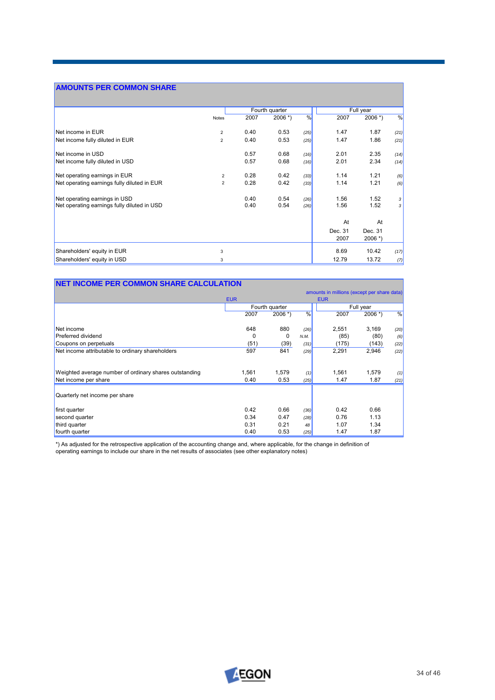# **AMOUNTS PER COMMON SHARE**

|                                             |                | Fourth quarter |                       |      |         | Full year             |              |
|---------------------------------------------|----------------|----------------|-----------------------|------|---------|-----------------------|--------------|
|                                             | <b>Notes</b>   | 2007           | $2006$ <sup>*</sup> ) | %    | 2007    | $2006$ <sup>*</sup> ) | %            |
| Net income in EUR                           | 2              | 0.40           | 0.53                  | (25) | 1.47    | 1.87                  | (21)         |
| Net income fully diluted in EUR             | $\overline{2}$ | 0.40           | 0.53                  | (25) | 1.47    | 1.86                  | (21)         |
| Net income in USD                           |                | 0.57           | 0.68                  | (16) | 2.01    | 2.35                  | (14)         |
| Net income fully diluted in USD             |                | 0.57           | 0.68                  | (16) | 2.01    | 2.34                  | (14)         |
| Net operating earnings in EUR               | $\overline{2}$ | 0.28           | 0.42                  | (33) | 1.14    | 1.21                  | (6)          |
| Net operating earnings fully diluted in EUR | $\overline{2}$ | 0.28           | 0.42                  | (33) | 1.14    | 1.21                  | (6)          |
| Net operating earnings in USD               |                | 0.40           | 0.54                  | (26) | 1.56    | 1.52                  | $\mathbf{3}$ |
| Net operating earnings fully diluted in USD |                | 0.40           | 0.54                  | (26) | 1.56    | 1.52                  | $\mathbf{3}$ |
|                                             |                |                |                       |      | At      | At                    |              |
|                                             |                |                |                       |      | Dec. 31 | Dec. 31               |              |
|                                             |                |                |                       |      | 2007    | $2006$ *)             |              |
| Shareholders' equity in EUR                 | 3              |                |                       |      | 8.69    | 10.42                 | (17)         |
| Shareholders' equity in USD                 | 3              |                |                       |      | 12.79   | 13.72                 | (7)          |

# **NET INCOME PER COMMON SHARE CALCULATION**

|                                                        |            |                |      | amounts in millions (except per share data) |           |      |
|--------------------------------------------------------|------------|----------------|------|---------------------------------------------|-----------|------|
|                                                        | <b>EUR</b> |                |      | <b>EUR</b>                                  |           |      |
|                                                        |            | Fourth quarter |      |                                             | Full year |      |
|                                                        | 2007       | $2006$ *)      | $\%$ | 2007                                        | $2006$ *) | %    |
| Net income                                             | 648        | 880            | (26) | 2,551                                       | 3,169     | (20) |
| <b>Preferred dividend</b>                              | 0          | 0              | N.M. | (85)                                        | (80)      | (6)  |
| Coupons on perpetuals                                  | (51)       | (39)           | (31) | (175)                                       | (143)     | (22) |
| Net income attributable to ordinary shareholders       | 597        | 841            | (29) | 2,291                                       | 2,946     | (22) |
| Weighted average number of ordinary shares outstanding | 1.561      | 1.579          | (1)  | 1,561                                       | 1,579     | (1)  |
| Net income per share                                   | 0.40       | 0.53           | (25) | 1.47                                        | 1.87      | (21) |
| Quarterly net income per share                         |            |                |      |                                             |           |      |
| first quarter                                          | 0.42       | 0.66           | (36) | 0.42                                        | 0.66      |      |
| second quarter                                         | 0.34       | 0.47           | (28) | 0.76                                        | 1.13      |      |
| third quarter                                          | 0.31       | 0.21           | 48   | 1.07                                        | 1.34      |      |
| fourth quarter                                         | 0.40       | 0.53           | (25) | 1.47                                        | 1.87      |      |

\*) As adjusted for the retrospective application of the accounting change and, where applicable, for the change in definition of operating earnings to include our share in the net results of associates (see other explanatory notes)



┑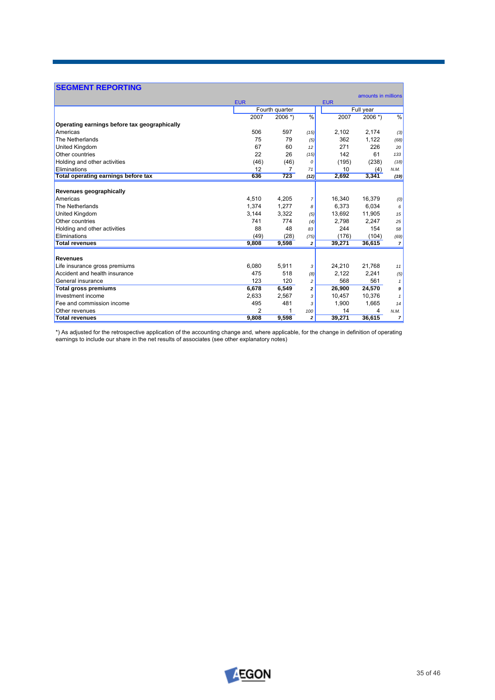| <b>SEGMENT REPORTING</b>                     |            |                |                |            |                     |                |  |
|----------------------------------------------|------------|----------------|----------------|------------|---------------------|----------------|--|
|                                              | <b>EUR</b> |                |                | <b>EUR</b> | amounts in millions |                |  |
|                                              |            | Fourth quarter |                |            | Full year           |                |  |
|                                              | 2007       | $2006$ *)      | $\frac{9}{6}$  | 2007       | $2006$ *)           | $\frac{0}{6}$  |  |
| Operating earnings before tax geographically |            |                |                |            |                     |                |  |
| Americas                                     | 506        | 597            | (15)           | 2,102      | 2,174               | (3)            |  |
| The Netherlands                              | 75         | 79             | (5)            | 362        | 1,122               | (68)           |  |
| United Kingdom                               | 67         | 60             | 12             | 271        | 226                 | 20             |  |
| Other countries                              | 22         | 26             | (15)           | 142        | 61                  | 133            |  |
| Holding and other activities                 | (46)       | (46)           | 0              | (195)      | (238)               | (18)           |  |
| Eliminations                                 | 12         |                | 71             | 10         | (4)                 | N.M.           |  |
| Total operating earnings before tax          | 636        | 723            | (12)           | 2,692      | 3,341               | (19)           |  |
| Revenues geographically                      |            |                |                |            |                     |                |  |
| Americas                                     | 4,510      | 4.205          | $\overline{7}$ | 16.340     | 16.379              | (0)            |  |
| The Netherlands                              | 1,374      | 1,277          | 8              | 6,373      | 6,034               | 6              |  |
| United Kingdom                               | 3,144      | 3,322          | (5)            | 13,692     | 11,905              | 15             |  |
| Other countries                              | 741        | 774            | (4)            | 2.798      | 2.247               | 25             |  |
| Holding and other activities                 | 88         | 48             | 83             | 244        | 154                 | 58             |  |
| Eliminations                                 | (49)       | (28)           | (75)           | (176)      | (104)               | (69)           |  |
| <b>Total revenues</b>                        | 9,808      | 9,598          | $\mathbf{z}$   | 39,271     | 36,615              | $\overline{7}$ |  |
| <b>Revenues</b>                              |            |                |                |            |                     |                |  |
| Life insurance gross premiums                | 6,080      | 5,911          | 3              | 24,210     | 21.768              | 11             |  |
| Accident and health insurance                | 475        | 518            | (8)            | 2.122      | 2.241               | (5)            |  |
| General insurance                            | 123        | 120            | $\overline{c}$ | 568        | 561                 | $\mathbf{1}$   |  |
| <b>Total gross premiums</b>                  | 6,678      | 6,549          | 2              | 26,900     | 24,570              | 9              |  |
| Investment income                            | 2,633      | 2,567          | 3              | 10,457     | 10,376              | $\mathbf{1}$   |  |
| Fee and commission income                    | 495        | 481            | 3              | 1,900      | 1,665               | 14             |  |
| Other revenues                               | 2          |                | 100            | 14         | 4                   | N.M.           |  |
| <b>Total revenues</b>                        | 9,808      | 9,598          | $\overline{a}$ | 39,271     | 36,615              | $\overline{ }$ |  |

\*) As adjusted for the retrospective application of the accounting change and, where applicable, for the change in definition of operating earnings to include our share in the net results of associates (see other explanatory notes)

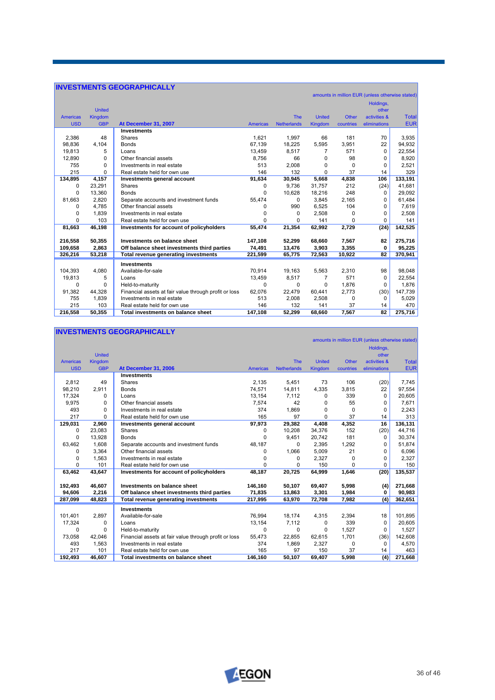# **INVESTMENTS GEOGRAPHICALLY**

|                 |                |                                                       |                 |                    |               |              | amounts in million EUR (unless otherwise stated) |              |
|-----------------|----------------|-------------------------------------------------------|-----------------|--------------------|---------------|--------------|--------------------------------------------------|--------------|
|                 |                |                                                       |                 |                    |               |              | Holdings,                                        |              |
|                 | <b>United</b>  |                                                       |                 |                    |               |              | other                                            |              |
| <b>Americas</b> | <b>Kingdom</b> |                                                       |                 | <b>The</b>         | <b>United</b> | <b>Other</b> | activities &                                     | <b>Total</b> |
| <b>USD</b>      | <b>GBP</b>     | At December 31, 2007                                  | <b>Americas</b> | <b>Netherlands</b> | Kingdom       | countries    | eliminations                                     | <b>EUR</b>   |
|                 |                | <b>Investments</b>                                    |                 |                    |               |              |                                                  |              |
| 2,386           | 48             | Shares                                                | 1.621           | 1.997              | 66            | 181          | 70                                               | 3,935        |
| 98,836          | 4,104          | <b>Bonds</b>                                          | 67,139          | 18,225             | 5,595         | 3,951        | 22                                               | 94,932       |
| 19.813          | 5              | Loans                                                 | 13.459          | 8.517              | 7             | 571          | $\Omega$                                         | 22,554       |
| 12.890          | $\Omega$       | Other financial assets                                | 8.756           | 66                 | $\Omega$      | 98           | 0                                                | 8,920        |
| 755             | 0              | Investments in real estate                            | 513             | 2.008              | $\Omega$      | $\Omega$     | 0                                                | 2,521        |
| 215             | $\Omega$       | Real estate held for own use                          | 146             | 132                | $\Omega$      | 37           | 14                                               | 329          |
| 134,895         | 4,157          | Investments general account                           | 91,634          | 30,945             | 5,668         | 4,838        | 106                                              | 133,191      |
| 0               | 23,291         | <b>Shares</b>                                         | 0               | 9.736              | 31,757        | 212          | (24)                                             | 41,681       |
| $\Omega$        | 13,360         | <b>Bonds</b>                                          | $\Omega$        | 10.628             | 18,216        | 248          | $\Omega$                                         | 29,092       |
| 81,663          | 2,820          | Separate accounts and investment funds                | 55,474          | 0                  | 3,845         | 2,165        | 0                                                | 61,484       |
| 0               | 4.785          | Other financial assets                                | 0               | 990                | 6.525         | 104          | 0                                                | 7,619        |
| 0               | 1.839          | Investments in real estate                            | $\Omega$        | 0                  | 2.508         | 0            | 0                                                | 2,508        |
| 0               | 103            | Real estate held for own use                          | $\Omega$        | 0                  | 141           | 0            | 0                                                | 141          |
| 81,663          | 46,198         | Investments for account of policyholders              | 55.474          | 21.354             | 62,992        | 2,729        | (24)                                             | 142,525      |
|                 |                |                                                       |                 |                    |               |              |                                                  |              |
| 216,558         | 50,355         | Investments on balance sheet                          | 147,108         | 52,299             | 68,660        | 7,567        | 82                                               | 275,716      |
| 109,658         | 2,863          | Off balance sheet investments third parties           | 74,491          | 13,476             | 3,903         | 3,355        | 0                                                | 95,225       |
| 326,216         | 53,218         | Total revenue generating investments                  | 221,599         | 65,775             | 72,563        | 10,922       | 82                                               | 370,941      |
|                 |                | <b>Investments</b>                                    |                 |                    |               |              |                                                  |              |
| 104,393         | 4.080          | Available-for-sale                                    | 70.914          | 19.163             | 5.563         | 2.310        | 98                                               | 98,048       |
| 19,813          | 5              | Loans                                                 | 13,459          | 8,517              | 7             | 571          | $\Omega$                                         | 22,554       |
| 0               | $\Omega$       | Held-to-maturity                                      | $\Omega$        | 0                  | $\Omega$      | 1.876        | 0                                                | 1,876        |
| 91,382          | 44,328         | Financial assets at fair value through profit or loss | 62.076          | 22,479             | 60,441        | 2,773        | (30)                                             | 147,739      |
| 755             | 1,839          | Investments in real estate                            | 513             | 2,008              | 2,508         | $\Omega$     | $\Omega$                                         | 5,029        |
| 215             | 103            | Real estate held for own use                          | 146             | 132                | 141           | 37           | 14                                               | 470          |
| 216,558         | 50,355         | Total investments on balance sheet                    | 147,108         | 52,299             | 68,660        | 7,567        | 82                                               | 275,716      |

### **INVESTMENTS GEOGRAPHICALLY**

|                 |                |                                                       |                 |                    |               |              | amounts in million EUR (unless otherwise stated) |              |
|-----------------|----------------|-------------------------------------------------------|-----------------|--------------------|---------------|--------------|--------------------------------------------------|--------------|
|                 |                |                                                       |                 |                    |               |              | Holdings,                                        |              |
|                 | <b>United</b>  |                                                       |                 |                    |               |              | other                                            |              |
| <b>Americas</b> | <b>Kingdom</b> |                                                       |                 | <b>The</b>         | <b>United</b> | <b>Other</b> | activities &                                     | <b>Total</b> |
| <b>USD</b>      | <b>GBP</b>     | At December 31, 2006                                  | <b>Americas</b> | <b>Netherlands</b> | Kingdom       | countries    | eliminations                                     | <b>EUR</b>   |
|                 |                | <b>Investments</b>                                    |                 |                    |               |              |                                                  |              |
| 2,812           | 49             | Shares                                                | 2.135           | 5,451              | 73            | 106          | (20)                                             | 7,745        |
| 98,210          | 2.911          | <b>Bonds</b>                                          | 74.571          | 14,811             | 4,335         | 3,815        | 22                                               | 97,554       |
| 17,324          | 0              | Loans                                                 | 13,154          | 7,112              | $\Omega$      | 339          | $\Omega$                                         | 20,605       |
| 9,975           | 0              | Other financial assets                                | 7,574           | 42                 | 0             | 55           | 0                                                | 7,671        |
| 493             | $\Omega$       | Investments in real estate                            | 374             | 1,869              | <sup>0</sup>  | $\Omega$     | $\Omega$                                         | 2,243        |
| 217             | $\Omega$       | Real estate held for own use                          | 165             | 97                 | <sup>0</sup>  | 37           | 14                                               | 313          |
| 129,031         | 2,960          | Investments general account                           | 97,973          | 29,382             | 4,408         | 4,352        | 16                                               | 136,131      |
| 0               | 23,083         | Shares                                                | 0               | 10,208             | 34,376        | 152          | (20)                                             | 44,716       |
| $\Omega$        | 13,928         | <b>Bonds</b>                                          | $\Omega$        | 9.451              | 20,742        | 181          | 0                                                | 30,374       |
| 63,462          | 1,608          | Separate accounts and investment funds                | 48,187          | 0                  | 2,395         | 1.292        | 0                                                | 51,874       |
| 0               | 3,364          | Other financial assets                                | 0               | 1,066              | 5,009         | 21           | 0                                                | 6,096        |
| 0               | 1,563          | Investments in real estate                            | 0               | 0                  | 2,327         | 0            | $\Omega$                                         | 2,327        |
| 0               | 101            | Real estate held for own use                          | $\Omega$        | $\Omega$           | 150           | $\Omega$     | 0                                                | 150          |
| 63,462          | 43,647         | Investments for account of policyholders              | 48.187          | 20,725             | 64,999        | 1,646        | (20)                                             | 135,537      |
|                 |                |                                                       |                 |                    |               |              |                                                  |              |
| 192,493         | 46,607         | <b>Investments on balance sheet</b>                   | 146,160         | 50,107             | 69,407        | 5,998        | (4)                                              | 271,668      |
| 94,606          | 2,216          | Off balance sheet investments third parties           | 71,835          | 13,863             | 3,301         | 1,984        | 0                                                | 90,983       |
| 287,099         | 48,823         | Total revenue generating investments                  | 217,995         | 63,970             | 72,708        | 7,982        | (4)                                              | 362,651      |
|                 |                | <b>Investments</b>                                    |                 |                    |               |              |                                                  |              |
| 101,401         | 2.897          | Available-for-sale                                    | 76.994          | 18,174             | 4,315         | 2,394        | 18                                               | 101,895      |
| 17,324          | 0              | Loans                                                 | 13,154          | 7,112              | $\Omega$      | 339          | $\Omega$                                         | 20,605       |
| 0               | $\Omega$       | Held-to-maturity                                      | $\Omega$        | 0                  | $\Omega$      | 1,527        | $\Omega$                                         | 1,527        |
| 73,058          | 42,046         | Financial assets at fair value through profit or loss | 55,473          | 22,855             | 62,615        | 1,701        | (36)                                             | 142,608      |
| 493             | 1.563          | Investments in real estate                            | 374             | 1,869              | 2,327         | 0            | 0                                                | 4,570        |
| 217             | 101            | Real estate held for own use                          | 165             | 97                 | 150           | 37           | 14                                               | 463          |
| 192.493         | 46,607         | Total investments on balance sheet                    | 146.160         | 50.107             | 69,407        | 5.998        | (4)                                              | 271,668      |



٦

▀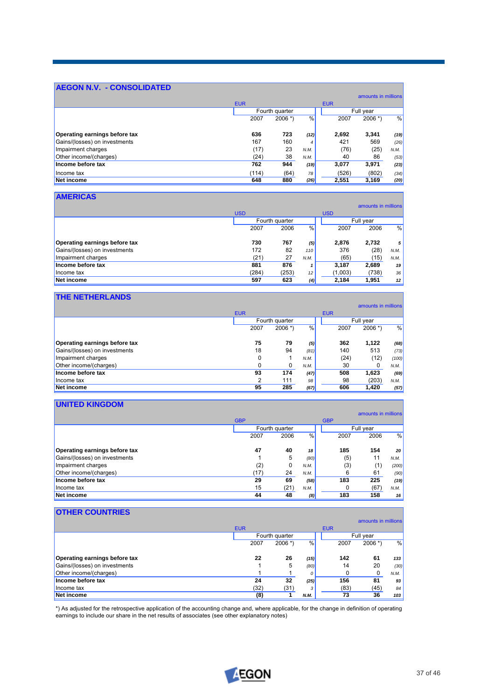# **AEGON N.V. - CONSOLIDATED**

|                               |            |                |               |            | amounts in millions |               |
|-------------------------------|------------|----------------|---------------|------------|---------------------|---------------|
|                               | <b>EUR</b> |                |               | <b>EUR</b> |                     |               |
|                               |            | Fourth quarter |               |            | Full year           |               |
|                               | 2007       | $2006$ *)      | $\frac{0}{0}$ | 2007       | $2006$ *)           | $\frac{0}{0}$ |
| Operating earnings before tax | 636        | 723            | (12)          | 2,692      | 3,341               | (19)          |
| Gains/(losses) on investments | 167        | 160            | 4             | 421        | 569                 | (26)          |
| Impairment charges            | (17)       | 23             | N.M.          | (76)       | (25)                | N.M.          |
| Other income/(charges)        | (24)       | 38             | N.M.          | 40         | 86                  | (53)          |
| Income before tax             | 762        | 944            | (19)          | 3,077      | 3,971               | (23)          |
| Income tax                    | (114)      | (64)           | 78            | (526)      | (802)               | (34)          |
| Net income                    | 648        | 880            | (26)          | 2,551      | 3,169               | (20)          |

# **AMERICAS**

|                               |            |                |      |            | amounts in millions |      |
|-------------------------------|------------|----------------|------|------------|---------------------|------|
|                               | <b>USD</b> |                |      | <b>USD</b> |                     |      |
|                               |            | Fourth quarter |      |            | Full year           |      |
|                               | 2007       | 2006           | %    | 2007       | 2006                | %    |
| Operating earnings before tax | 730        | 767            | (5)  | 2.876      | 2.732               | 5    |
| Gains/(losses) on investments | 172        | 82             | 110  | 376        | (28)                | N.M. |
| Impairment charges            | (21)       | 27             | N.M. | (65)       | (15)                | N.M. |
| Income before tax             | 881        | 876            |      | 3.187      | 2,689               | 19   |
| Income tax                    | (284)      | (253)          | 12   | (1,003)    | (738)               | 36   |
| Net income                    | 597        | 623            | (4)  | 2.184      | 1.951               | 12   |

# **THE NETHERLANDS**

|                               |            |                |      |            | amounts in millions |       |
|-------------------------------|------------|----------------|------|------------|---------------------|-------|
|                               | <b>EUR</b> |                |      | <b>EUR</b> |                     |       |
|                               |            | Fourth quarter |      |            | Full year           |       |
|                               | 2007       | $2006$ *)      | %    | 2007       | $2006$ *)           | %     |
| Operating earnings before tax | 75         | 79             | (5)  | 362        | 1,122               | (68)  |
| Gains/(losses) on investments | 18         | 94             | (81) | 140        | 513                 | (73)  |
| Impairment charges            | 0          |                | N.M. | (24)       | (12)                | (100) |
| Other income/(charges)        | 0          | 0              | N.M. | 30         |                     | N.M.  |
| Income before tax             | 93         | 174            | (47) | 508        | 1,623               | (69)  |
| Income tax                    | 2          | 111            | 98   | 98         | (203)               | N.M.  |
| Net income                    | 95         | 285            | (67) | 606        | 1.420               | (57)  |

# **UNITED KINGDOM**

|                               |            |                |      |            | amounts in millions |                 |
|-------------------------------|------------|----------------|------|------------|---------------------|-----------------|
|                               | <b>GBP</b> |                |      | <b>GBP</b> |                     |                 |
|                               |            | Fourth quarter |      | Full year  |                     |                 |
|                               | 2007       | 2006           | %    | 2007       | 2006                | %               |
| Operating earnings before tax | 47         | 40             | 18   | 185        | 154                 | 20 <sub>2</sub> |
| Gains/(losses) on investments |            | 5              | (80) | (5)        | 11                  | N.M.            |
| Impairment charges            | (2)        | 0              | N.M. | (3)        | (1)                 | (200)           |
| Other income/(charges)        | (17)       | 24             | N.M. | 6          | 61                  | (90)            |
| Income before tax             | 29         | 69             | (58) | 183        | 225                 | (19)            |
| Income tax                    | 15         | (21)           | N.M. | 0          | (67)                | N.M.            |
| Net income                    | 44         | 48             | (8)  | 183        | 158                 | 16              |

# **OTHER COUNTRIES**

|                               |                        |      |      |            | amounts in millions |               |
|-------------------------------|------------------------|------|------|------------|---------------------|---------------|
|                               | <b>EUR</b>             |      |      | <b>EUR</b> |                     |               |
|                               | Fourth quarter         |      |      | Full year  |                     |               |
|                               | %<br>$2006$ *)<br>2007 |      |      | 2007       | $2006$ *)           | $\frac{0}{0}$ |
| Operating earnings before tax | 22                     | 26   | (15) | 142        | 61                  | 133           |
| Gains/(losses) on investments |                        | 5    | (80) | 14         | 20                  | (30)          |
| Other income/(charges)        |                        |      | 0    | 0          | 0                   | N.M.          |
| Income before tax             | 24                     | 32   | (25) | 156        | 81                  | 93            |
| Income tax                    | (32)                   | (31) | 3    | (83)       | (45)                | 84            |
| Net income                    | (8)                    |      | N.M. | 73         | 36                  | 103           |

\*) As adjusted for the retrospective application of the accounting change and, where applicable, for the change in definition of operating earnings to include our share in the net results of associates (see other explanatory notes)

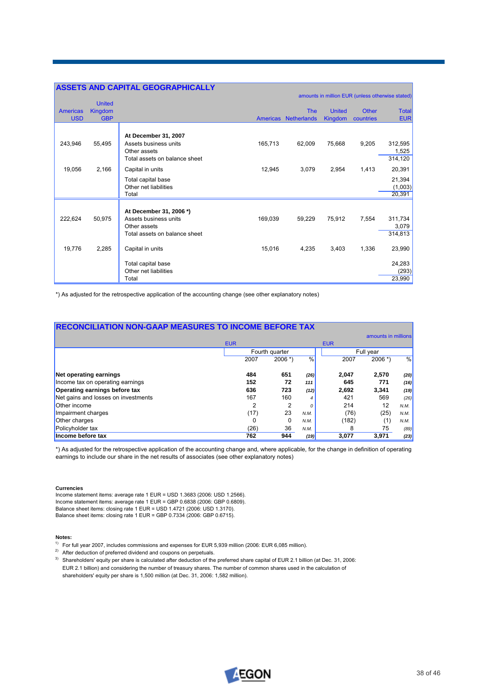|                 |                | <b>ASSETS AND CAPITAL GEOGRAPHICALLY</b> |         |                      |                |              |                                                  |
|-----------------|----------------|------------------------------------------|---------|----------------------|----------------|--------------|--------------------------------------------------|
|                 |                |                                          |         |                      |                |              | amounts in million EUR (unless otherwise stated) |
|                 | <b>United</b>  |                                          |         |                      |                |              |                                                  |
| <b>Americas</b> | <b>Kingdom</b> |                                          |         | <b>The</b>           | <b>United</b>  | <b>Other</b> | <b>Total</b>                                     |
| <b>USD</b>      | <b>GBP</b>     |                                          |         | Americas Netherlands | <b>Kingdom</b> | countries    | <b>EUR</b>                                       |
|                 |                | At December 31, 2007                     |         |                      |                |              |                                                  |
| 243,946         | 55,495         | Assets business units                    | 165,713 | 62,009               | 75,668         | 9,205        | 312,595                                          |
|                 |                | Other assets                             |         |                      |                |              | 1,525                                            |
|                 |                | Total assets on balance sheet            |         |                      |                |              | 314,120                                          |
| 19,056          | 2,166          | Capital in units                         | 12,945  | 3,079                | 2,954          | 1,413        | 20,391                                           |
|                 |                | Total capital base                       |         |                      |                |              | 21,394                                           |
|                 |                | Other net liabilities                    |         |                      |                |              | (1,003)                                          |
|                 |                | Total                                    |         |                      |                |              | 20,391                                           |
|                 |                | At December 31, 2006 *)                  |         |                      |                |              |                                                  |
| 222,624         | 50,975         | Assets business units                    | 169,039 | 59,229               | 75,912         | 7,554        | 311,734                                          |
|                 |                | Other assets                             |         |                      |                |              | 3,079                                            |
|                 |                | Total assets on balance sheet            |         |                      |                |              | 314,813                                          |
| 19,776          | 2,285          | Capital in units                         | 15,016  | 4,235                | 3,403          | 1,336        | 23,990                                           |
|                 |                | Total capital base                       |         |                      |                |              | 24,283                                           |
|                 |                | Other net liabilities                    |         |                      |                |              | (293)                                            |
|                 |                | Total                                    |         |                      |                |              | 23,990                                           |

\*) As adjusted for the retrospective application of the accounting change (see other explanatory notes)

| <b>RECONCILIATION NON-GAAP MEASURES TO INCOME BEFORE TAX</b> |            |      |                |               |            |                     |      |
|--------------------------------------------------------------|------------|------|----------------|---------------|------------|---------------------|------|
|                                                              |            |      |                |               |            | amounts in millions |      |
|                                                              | <b>EUR</b> |      |                |               | <b>EUR</b> |                     |      |
|                                                              |            |      | Fourth quarter |               |            | Full year           |      |
|                                                              |            | 2007 | $2006$ *)      | $\frac{0}{0}$ | 2007       | $2006$ *)           | %    |
| Net operating earnings                                       |            | 484  | 651            | (26)          | 2.047      | 2,570               | (20) |
| Income tax on operating earnings                             |            | 152  | 72             | 111           | 645        | 771                 | (16) |
| Operating earnings before tax                                |            | 636  | 723            | (12)          | 2,692      | 3,341               | (19) |
| Net gains and losses on investments                          |            | 167  | 160            |               | 421        | 569                 | (26) |
| <b>Other income</b>                                          |            | 2    | 2              | 0             | 214        | 12                  | N.M. |
| Impairment charges                                           |            | (17) | 23             | N.M.          | (76)       | (25)                | N.M. |
| <b>Other charges</b>                                         |            | 0    | 0              | N.M.          | (182)      | (1)                 | N.M. |
| Policyholder tax                                             |            | (26) | 36             | N.M.          | 8          | 75                  | (89) |
| Income before tax                                            |            | 762  | 944            | (19)          | 3,077      | 3.971               | (23) |

\*) As adjusted for the retrospective application of the accounting change and, where applicable, for the change in definition of operating earnings to include our share in the net results of associates (see other explanatory notes)

### **Currencies**

Income statement items: average rate 1 EUR = USD 1.3683 (2006: USD 1.2566). Income statement items: average rate 1 EUR = GBP 0.6838 (2006: GBP 0.6809). Balance sheet items: closing rate 1 EUR = USD 1.4721 (2006: USD 1.3170). Balance sheet items: closing rate 1 EUR = GBP 0.7334 (2006: GBP 0.6715).

### **Notes:**

- 1) For full year 2007, includes commissions and expenses for EUR 5,939 million (2006: EUR 6,085 million).
- <sup>2)</sup> After deduction of preferred dividend and coupons on perpetuals.
- <sup>3)</sup> Shareholders' equity per share is calculated after deduction of the preferred share capital of EUR 2.1 billion (at Dec. 31, 2006: EUR 2.1 billion) and considering the number of treasury shares. The number of common shares used in the calculation of shareholders' equity per share is 1,500 million (at Dec. 31, 2006: 1,582 million).

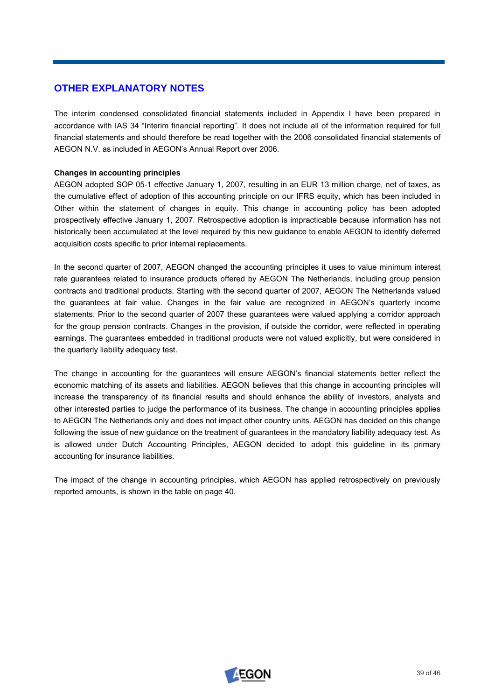# **OTHER EXPLANATORY NOTES**

The interim condensed consolidated financial statements included in Appendix I have been prepared in accordance with IAS 34 "Interim financial reporting". It does not include all of the information required for full financial statements and should therefore be read together with the 2006 consolidated financial statements of AEGON N.V. as included in AEGON's Annual Report over 2006.

# **Changes in accounting principles**

AEGON adopted SOP 05-1 effective January 1, 2007, resulting in an EUR 13 million charge, net of taxes, as the cumulative effect of adoption of this accounting principle on our IFRS equity, which has been included in Other within the statement of changes in equity. This change in accounting policy has been adopted prospectively effective January 1, 2007. Retrospective adoption is impracticable because information has not historically been accumulated at the level required by this new guidance to enable AEGON to identify deferred acquisition costs specific to prior internal replacements.

In the second quarter of 2007, AEGON changed the accounting principles it uses to value minimum interest rate guarantees related to insurance products offered by AEGON The Netherlands, including group pension contracts and traditional products. Starting with the second quarter of 2007, AEGON The Netherlands valued the guarantees at fair value. Changes in the fair value are recognized in AEGON's quarterly income statements. Prior to the second quarter of 2007 these guarantees were valued applying a corridor approach for the group pension contracts. Changes in the provision, if outside the corridor, were reflected in operating earnings. The guarantees embedded in traditional products were not valued explicitly, but were considered in the quarterly liability adequacy test.

The change in accounting for the guarantees will ensure AEGON's financial statements better reflect the economic matching of its assets and liabilities. AEGON believes that this change in accounting principles will increase the transparency of its financial results and should enhance the ability of investors, analysts and other interested parties to judge the performance of its business. The change in accounting principles applies to AEGON The Netherlands only and does not impact other country units. AEGON has decided on this change following the issue of new guidance on the treatment of guarantees in the mandatory liability adequacy test. As is allowed under Dutch Accounting Principles, AEGON decided to adopt this guideline in its primary accounting for insurance liabilities.

The impact of the change in accounting principles, which AEGON has applied retrospectively on previously reported amounts, is shown in the table on page 40.

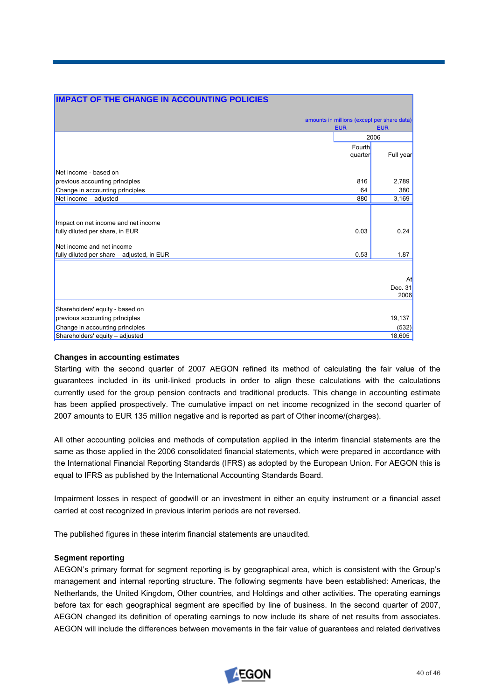| <b>IMPACT OF THE CHANGE IN ACCOUNTING POLICIES</b> |            |                                             |
|----------------------------------------------------|------------|---------------------------------------------|
|                                                    |            |                                             |
|                                                    |            | amounts in millions (except per share data) |
|                                                    | <b>EUR</b> | <b>EUR</b>                                  |
|                                                    |            | 2006                                        |
|                                                    | Fourth     |                                             |
|                                                    | quarter    | Full year                                   |
| Net income - based on                              |            |                                             |
| previous accounting principles                     | 816        | 2,789                                       |
| Change in accounting prInciples                    | 64         | 380                                         |
| Net income - adjusted                              | 880        | 3,169                                       |
|                                                    |            |                                             |
| Impact on net income and net income                |            |                                             |
| fully diluted per share, in EUR                    | 0.03       | 0.24                                        |
| Net income and net income                          |            |                                             |
| fully diluted per share - adjusted, in EUR         | 0.53       | 1.87                                        |
|                                                    |            |                                             |
|                                                    |            | At                                          |
|                                                    |            | Dec. 31                                     |
|                                                    |            | 2006                                        |
| Shareholders' equity - based on                    |            |                                             |
| previous accounting principles                     |            | 19,137                                      |
| Change in accounting prInciples                    |            | (532)                                       |
| Shareholders' equity - adjusted                    |            | 18,605                                      |

### **Changes in accounting estimates**

Starting with the second quarter of 2007 AEGON refined its method of calculating the fair value of the guarantees included in its unit-linked products in order to align these calculations with the calculations currently used for the group pension contracts and traditional products. This change in accounting estimate has been applied prospectively. The cumulative impact on net income recognized in the second quarter of 2007 amounts to EUR 135 million negative and is reported as part of Other income/(charges).

All other accounting policies and methods of computation applied in the interim financial statements are the same as those applied in the 2006 consolidated financial statements, which were prepared in accordance with the International Financial Reporting Standards (IFRS) as adopted by the European Union. For AEGON this is equal to IFRS as published by the International Accounting Standards Board.

Impairment losses in respect of goodwill or an investment in either an equity instrument or a financial asset carried at cost recognized in previous interim periods are not reversed.

The published figures in these interim financial statements are unaudited.

### **Segment reporting**

AEGON's primary format for segment reporting is by geographical area, which is consistent with the Group's management and internal reporting structure. The following segments have been established: Americas, the Netherlands, the United Kingdom, Other countries, and Holdings and other activities. The operating earnings before tax for each geographical segment are specified by line of business. In the second quarter of 2007, AEGON changed its definition of operating earnings to now include its share of net results from associates. AEGON will include the differences between movements in the fair value of guarantees and related derivatives

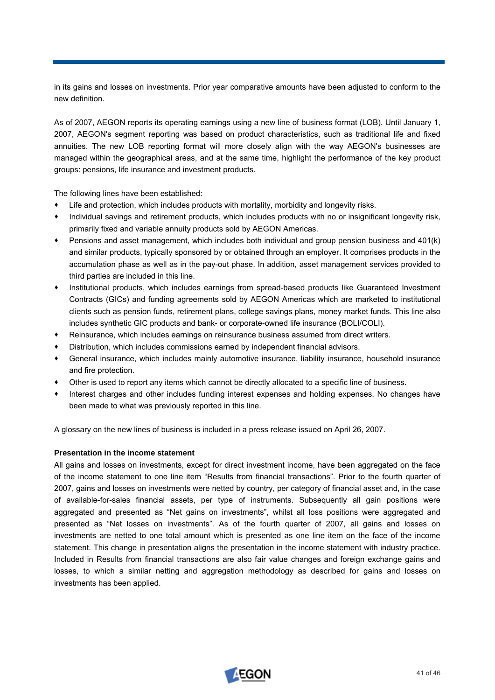in its gains and losses on investments. Prior year comparative amounts have been adjusted to conform to the new definition.

As of 2007, AEGON reports its operating earnings using a new line of business format (LOB). Until January 1, 2007, AEGON's segment reporting was based on product characteristics, such as traditional life and fixed annuities. The new LOB reporting format will more closely align with the way AEGON's businesses are managed within the geographical areas, and at the same time, highlight the performance of the key product groups: pensions, life insurance and investment products.

The following lines have been established:

- Life and protection, which includes products with mortality, morbidity and longevity risks.
- Individual savings and retirement products, which includes products with no or insignificant longevity risk, primarily fixed and variable annuity products sold by AEGON Americas.
- Pensions and asset management, which includes both individual and group pension business and 401(k) and similar products, typically sponsored by or obtained through an employer. It comprises products in the accumulation phase as well as in the pay-out phase. In addition, asset management services provided to third parties are included in this line.
- Institutional products, which includes earnings from spread-based products like Guaranteed Investment Contracts (GICs) and funding agreements sold by AEGON Americas which are marketed to institutional clients such as pension funds, retirement plans, college savings plans, money market funds. This line also includes synthetic GIC products and bank- or corporate-owned life insurance (BOLI/COLI).
- Reinsurance, which includes earnings on reinsurance business assumed from direct writers.
- Distribution, which includes commissions earned by independent financial advisors.  $\bullet$
- General insurance, which includes mainly automotive insurance, liability insurance, household insurance and fire protection.
- Other is used to report any items which cannot be directly allocated to a specific line of business.
- Interest charges and other includes funding interest expenses and holding expenses. No changes have been made to what was previously reported in this line.

A glossary on the new lines of business is included in a press release issued on April 26, 2007.

### **Presentation in the income statement**

of the income statement to one line item "Results from financial transactions". Prior to the fourth quarter of 2007, gains and losses on investments were netted by country, per category of financial asset and, in the case aggregated and presented as "Net gains on investments", whilst all loss positions were aggregated and presented as "Net losses on investments". As of the fourth quarter of 2007, all gains and losses on investments are netted to one total amount which is presented as one line item on the face of the income statement. This change in presentation aligns the presentation in the income statement with industry practice. Included in Results from financial transactions are also fair value changes and foreign exchange gains and All gains and losses on investments, except for direct investment income, have been aggregated on the face of available-for-sales financial assets, per type of instruments. Subsequently all gain positions were losses, to which a similar netting and aggregation methodology as described for gains and losses on investments has been applied.

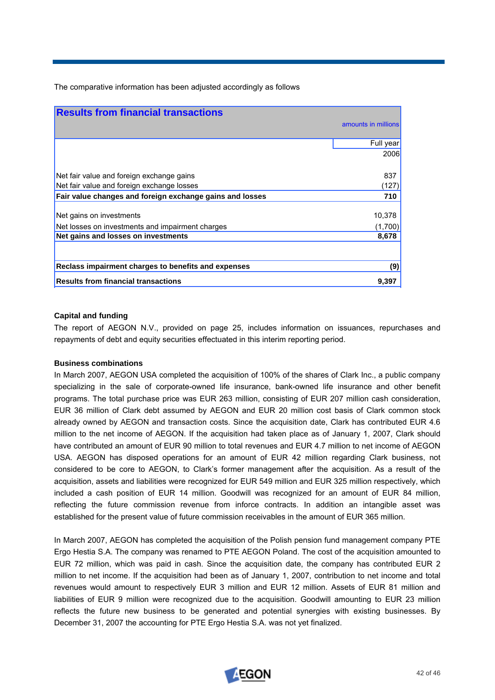The comparative information has been adjusted accordingly as follows

| <b>Results from financial transactions</b>               |                     |
|----------------------------------------------------------|---------------------|
|                                                          | amounts in millions |
|                                                          | Full year           |
|                                                          | 2006                |
|                                                          |                     |
| Net fair value and foreign exchange gains                | 837                 |
| Net fair value and foreign exchange losses               | (127)               |
| Fair value changes and foreign exchange gains and losses | 710                 |
|                                                          |                     |
| Net gains on investments                                 | 10,378              |
| Net losses on investments and impairment charges         | (1,700)             |
| Net gains and losses on investments                      | 8,678               |
|                                                          |                     |
| Reclass impairment charges to benefits and expenses      | (9)                 |
| <b>Results from financial transactions</b>               | 9,397               |

### **Capital and funding**

The report of AEGON N.V., provided on page 25, includes information on issuances, rep urchases and repayments of debt and equity securities effectuated in this interim reporting period.

### **Business combinations**

In March 2007, AEGON USA completed the acquisition of 100% of the shares of Clark Inc., a public company EUR 36 million of Clark debt assumed by AEGON and EUR 20 million cost basis of Clark common stock already owned by AEGON and transaction costs. Since the acquisition date, Clark has contributed EUR 4.6 million to the net income of AEGON. If the acquisition had taken place as of January 1, 2007, Clark should have contributed an amount of EUR 90 million to total revenues and EUR 4.7 million to net income of AEGON specializing in the sale of corporate-owned life insurance, bank-owned life insurance and other benefit programs. The total purchase price was EUR 263 million, consisting of EUR 207 million cash consideration, USA. AEGON has disposed operations for an amount of EUR 42 million regarding Clark business, not considered to be core to AEGON, to Clark's former management after the acquisition. As a result of the acquisition, assets and liabilities were recognized for EUR 549 million and EUR 325 million respectively, which included a cash position of EUR 14 million. Goodwill was recognized for an amount of EUR 84 million, reflecting the future commission revenue from inforce contracts. In addition an intangible asset was established for the present value of future commission receivables in the amount of EUR 365 million.

revenues would amount to respectively EUR 3 million and EUR 12 million. Assets of EUR 81 million and liabilities of EUR 9 million were recognized due to the acquisition. Goodwill amounting to EUR 23 million reflects the future new business to be generated and potential synergies with existing businesses. By December 31, 2007 the accounting for PTE Ergo Hestia S.A. was not yet finalized. In March 2007, AEGON has completed the acquisition of the Polish pension fund management company PTE Ergo Hestia S.A. The company was renamed to PTE AEGON Poland. The cost of the acquisition amounted to EUR 72 million, which was paid in cash. Since the acquisition date, the company has contributed EUR 2 million to net income. If the acquisition had been as of January 1, 2007, contribution to net income and total

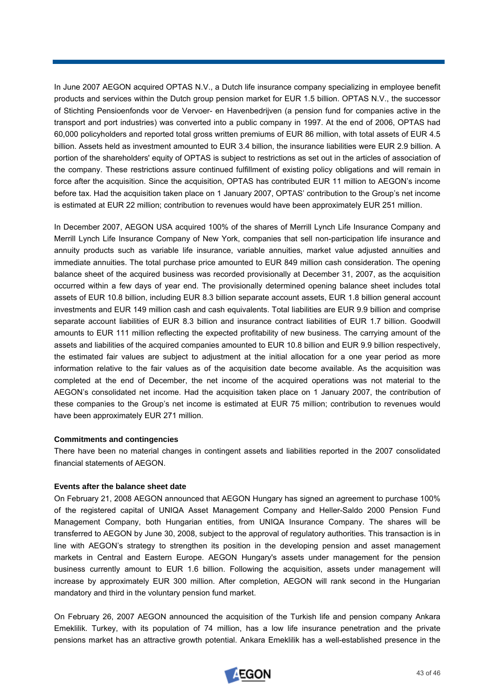In June 2007 AEGON acquired OPTAS N.V., a Dutch life insurance company specializing in employee benefit products and services within the Dutch group pension market for EUR 1.5 billion. OPTAS N.V., the successor of Stichting Pensioenfonds voor de Vervoer- en Havenbedrijven (a pension fund for companies active in the transport and port industries) was converted into a public company in 1997. At the end of 2006, OPTAS had 60,000 policyholders and reported total gross written premiums of EUR 86 million, with total assets of EUR 4.5 billion. Assets held as investment amounted to EUR 3.4 billion, the insurance liabilities were EUR 2.9 billion. A portion of the shareholders' equity of OPTAS is subject to restrictions as set out in the articles of association of the company. These restrictions assure continued fulfillment of existing policy obligations and will remain in force after the acquisition. Since the acquisition, OPTAS has contributed EUR 11 million to AEGON's income before tax. Had the acquisition taken place on 1 January 2007, OPTAS' contribution to the Group's net income is estimated at EUR 22 million; contribution to revenues would have been approximately EUR 251 million.

In December 2007, AEGON USA acquired 100% of the shares of Merrill Lynch Life Insurance Company and Merrill Lynch Life Insurance Company of New York, companies that sell non-participation life insurance and annuity products such as variable life insurance, variable annuities, market value adjusted annuities and immediate annuities. The total purchase price amounted to EUR 849 million cash consideration. The opening balance sheet of the acquired business was recorded provisionally at December 31, 2007, as the acquisition occurred within a few days of year end. The provisionally determined opening balance sheet includes total assets of EUR 10.8 billion, including EUR 8.3 billion separate account assets, EUR 1.8 billion general account investments and EUR 149 million cash and cash equivalents. Total liabilities are EUR 9.9 billion and comprise assets and liabilities of the acquired companies amounted to EUR 10.8 billion and EUR 9.9 billion respectively, the estimated fair values are subject to adjustment at the initial allocation for a one year period as more separate account liabilities of EUR 8.3 billion and insurance contract liabilities of EUR 1.7 billion. Goodwill amounts to EUR 111 million reflecting the expected profitability of new business. The carrying amount of the information relative to the fair values as of the acquisition date become available. As the acquisition was completed at the end of December, the net income of the acquired operations was not material to the AEGON's consolidated net income. Had the acquisition taken place on 1 January 2007, the contribution of these companies to the Group's net income is estimated at EUR 75 million; contribution to revenues would have been approximately EUR 271 million.

### **Commitments and contingencies**

There have been no material changes in contingent assets and liabilities reported in the 2007 consolidated financial statements of AEGON.

### **Events after the balance sheet date**

Management Company, both Hungarian entities, from UNIQA Insurance Company. The shares will be On February 21, 2008 AEGON announced that AEGON Hungary has signed an agreement to purchase 100% of the registered capital of UNIQA Asset Management Company and Heller-Saldo 2000 Pension Fund transferred to AEGON by June 30, 2008, subject to the approval of regulatory authorities. This transaction is in line with AEGON's strategy to strengthen its position in the developing pension and asset management markets in Central and Eastern Europe. AEGON Hungary's assets under management for the pension business currently amount to EUR 1.6 billion. Following the acquisition, assets under management will increase by approximately EUR 300 million. After completion, AEGON will rank second in the Hungarian mandatory and third in the voluntary pension fund market.

Emeklilik. Turkey, with its population of 74 million, has a low life insurance penetration and the private ensions market has an attractive growth potential. Ankara Emeklilik has a well-established presence in the pOn February 26, 2007 AEGON announced the acquisition of the Turkish life and pension company Ankara

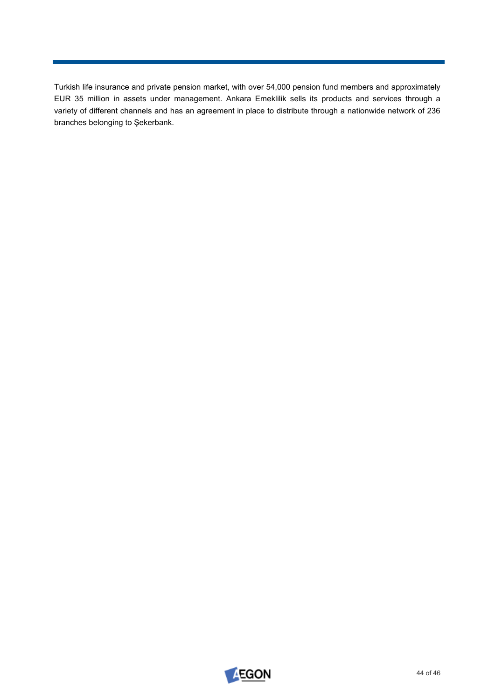Turkish life insurance and private pension market, with over 54,000 pension fund members and approximately EUR 35 million in assets under management. Ankara Emeklilik sells its products and services through a variety of different channels and has an agreement in place to distribute through a nationwide network of 236 branches belonging to Şekerbank.

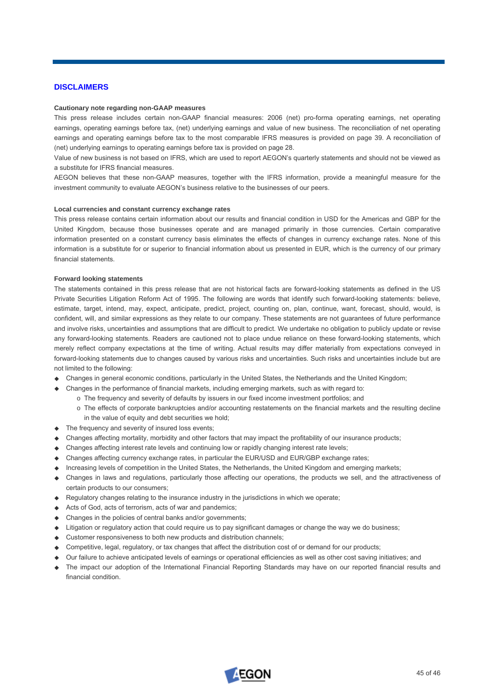# **DISCLAIMERS**

### **Cautionary note regarding non-GAAP measures**

This press release includes certain non-GAAP financial measures: 2006 (net) pro-forma operating earnings, net operating earnings, operating earnings before tax, (net) underlying earnings and value of new business. The reconciliation of net operating earnings and operating earnings before tax to the most comparable IFRS measures is provided on page 39. A reconciliation of (net) underlying earnings to operating earnings before tax is provided on page 28.

Value of new business is not based on IFRS, which are used to report AEGON's quarterly statements and should not be viewed as a substitute for IFRS financial measures.

AEGON believes that these non-GAAP measures, together with the IFRS information, provide a meaningful measure for the investment community to evaluate AEGON's business relative to the businesses of our peers.

### **Local currencies and constant currency exchange rates**

This press release contains certain information about our results and financial condition in USD for the Americas and GBP for the United Kingdom, because those businesses operate and are managed primarily in those currencies. Certain comparative information presented on a constant currency basis eliminates the effects of changes in currency exchange rates. None of this information is a substitute for or superior to financial information about us presented in EUR, which is the currency of our primary financial statements.

### **Forward looking statements**

The statements contained in this press release that are not historical facts are forward-looking statements as defined in the US Private Securities Litigation Reform Act of 1995. The following are words that identify such forward-looking statements: believe, estimate, target, intend, may, expect, anticipate, predict, project, counting on, plan, continue, want, forecast, should, would, is confident, will, and similar expressions as they relate to our company. These statements are not guarantees of future performance and involve risks, uncertainties and assumptions that are difficult to predict. We undertake no obligation to publicly update or revise any forward-looking statements. Readers are cautioned not to place undue reliance on these forward-looking statements, which merely reflect company expectations at the time of writing. Actual results may differ materially from expectations conveyed in forward-looking statements due to changes caused by various risks and uncertainties. Such risks and uncertainties include but are not limited to the following:

- Changes in general economic conditions, particularly in the United States, the Netherlands and the United Kingdom;
- Changes in the performance of financial markets, including emerging markets, such as with regard to:
	- o The frequency and severity of defaults by issuers in our fixed income investment portfolios; and
		- o The effects of corporate bankruptcies and/or accounting restatements on the financial markets and the resulting decline in the value of equity and debt securities we hold:
- $\triangle$  The frequency and severity of insured loss events;
- Changes affecting mortality, morbidity and other factors that may impact the profitability of our insurance products;
- Changes affecting interest rate levels and continuing low or rapidly changing interest rate levels;
- Changes affecting currency exchange rates, in particular the EUR/USD and EUR/GBP exchange rates;
- Increasing levels of competition in the United States, the Netherlands, the United Kingdom and emerging markets;
- Changes in laws and regulations, particularly those affecting our operations, the products we sell, and the attractiveness of certain products to our consumers;
- $\triangle$  Regulatory changes relating to the insurance industry in the jurisdictions in which we operate:
- Acts of God, acts of terrorism, acts of war and pandemics;
- Changes in the policies of central banks and/or governments;
- Litigation or regulatory action that could require us to pay significant damages or change the way we do business;
- Customer responsiveness to both new products and distribution channels;
- Competitive, legal, regulatory, or tax changes that affect the distribution cost of or demand for our products;
- Our failure to achieve anticipated levels of earnings or operational efficiencies as well as other cost saving initiatives; and
- The impact our adoption of the International Financial Reporting Standards may have on our reported financial results and financial condition.